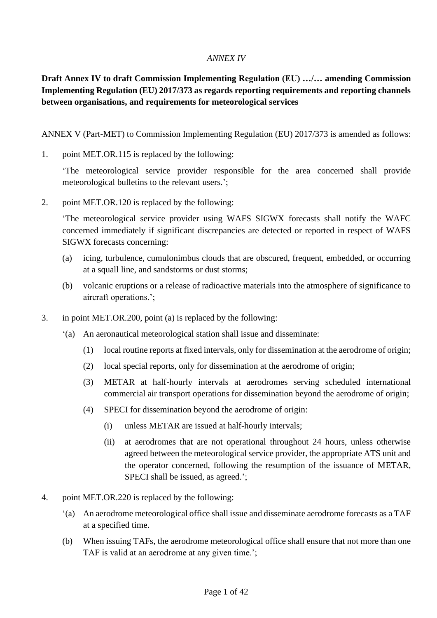#### *ANNEX IV*

# **Draft Annex IV to draft Commission Implementing Regulation (EU) …/… amending Commission Implementing Regulation (EU) 2017/373 as regards reporting requirements and reporting channels between organisations, and requirements for meteorological services**

ANNEX V (Part-MET) to Commission Implementing Regulation (EU) 2017/373 is amended as follows:

1. point MET.OR.115 is replaced by the following:

'The meteorological service provider responsible for the area concerned shall provide meteorological bulletins to the relevant users.';

2. point MET.OR.120 is replaced by the following:

'The meteorological service provider using WAFS SIGWX forecasts shall notify the WAFC concerned immediately if significant discrepancies are detected or reported in respect of WAFS SIGWX forecasts concerning:

- (a) icing, turbulence, cumulonimbus clouds that are obscured, frequent, embedded, or occurring at a squall line, and sandstorms or dust storms;
- (b) volcanic eruptions or a release of radioactive materials into the atmosphere of significance to aircraft operations.';
- 3. in point MET.OR.200, point (a) is replaced by the following:
	- '(a) An aeronautical meteorological station shall issue and disseminate:
		- (1) local routine reports at fixed intervals, only for dissemination at the aerodrome of origin;
		- (2) local special reports, only for dissemination at the aerodrome of origin;
		- (3) METAR at half-hourly intervals at aerodromes serving scheduled international commercial air transport operations for dissemination beyond the aerodrome of origin;
		- (4) SPECI for dissemination beyond the aerodrome of origin:
			- (i) unless METAR are issued at half-hourly intervals;
			- (ii) at aerodromes that are not operational throughout 24 hours, unless otherwise agreed between the meteorological service provider, the appropriate ATS unit and the operator concerned, following the resumption of the issuance of METAR, SPECI shall be issued, as agreed.';
- 4. point MET.OR.220 is replaced by the following:
	- '(a) An aerodrome meteorological office shall issue and disseminate aerodrome forecasts as a TAF at a specified time.
	- (b) When issuing TAFs, the aerodrome meteorological office shall ensure that not more than one TAF is valid at an aerodrome at any given time.';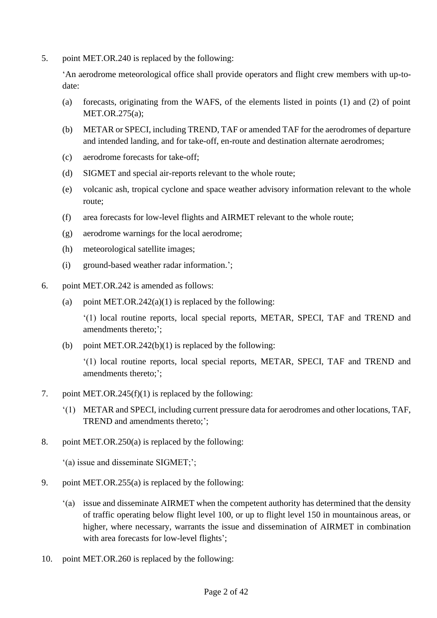5. point MET.OR.240 is replaced by the following:

'An aerodrome meteorological office shall provide operators and flight crew members with up-todate:

- (a) forecasts, originating from the WAFS, of the elements listed in points (1) and (2) of point MET.OR.275(a);
- (b) METAR or SPECI, including TREND, TAF or amended TAF for the aerodromes of departure and intended landing, and for take-off, en-route and destination alternate aerodromes;
- (c) aerodrome forecasts for take-off;
- (d) SIGMET and special air-reports relevant to the whole route;
- (e) volcanic ash, tropical cyclone and space weather advisory information relevant to the whole route;
- (f) area forecasts for low-level flights and AIRMET relevant to the whole route;
- (g) aerodrome warnings for the local aerodrome;
- (h) meteorological satellite images;
- (i) ground-based weather radar information.';
- 6. point MET.OR.242 is amended as follows:
	- (a) point MET.OR.242(a)(1) is replaced by the following:

'(1) local routine reports, local special reports, METAR, SPECI, TAF and TREND and amendments thereto;';

(b) point MET.OR.242(b)(1) is replaced by the following:

'(1) local routine reports, local special reports, METAR, SPECI, TAF and TREND and amendments thereto;';

- 7. point MET.OR.245(f)(1) is replaced by the following:
	- '(1) METAR and SPECI, including current pressure data for aerodromes and other locations, TAF, TREND and amendments thereto;';
- 8. point MET.OR.250(a) is replaced by the following:

'(a) issue and disseminate SIGMET;';

- 9. point MET.OR.255(a) is replaced by the following:
	- '(a) issue and disseminate AIRMET when the competent authority has determined that the density of traffic operating below flight level 100, or up to flight level 150 in mountainous areas, or higher, where necessary, warrants the issue and dissemination of AIRMET in combination with area forecasts for low-level flights';
- 10. point MET.OR.260 is replaced by the following: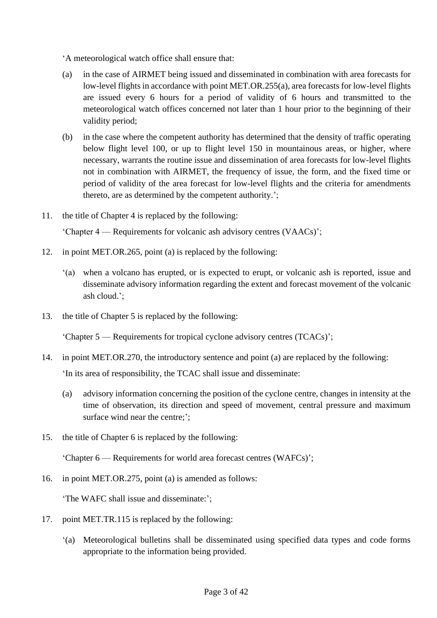'A meteorological watch office shall ensure that:

- (a) in the case of AIRMET being issued and disseminated in combination with area forecasts for low-level flights in accordance with point MET.OR.255(a), area forecasts for low-level flights are issued every 6 hours for a period of validity of 6 hours and transmitted to the meteorological watch offices concerned not later than 1 hour prior to the beginning of their validity period;
- (b) in the case where the competent authority has determined that the density of traffic operating below flight level 100, or up to flight level 150 in mountainous areas, or higher, where necessary, warrants the routine issue and dissemination of area forecasts for low-level flights not in combination with AIRMET, the frequency of issue, the form, and the fixed time or period of validity of the area forecast for low-level flights and the criteria for amendments thereto, are as determined by the competent authority.';
- 11. the title of Chapter 4 is replaced by the following:

'Chapter 4 — Requirements for volcanic ash advisory centres (VAACs)';

- 12. in point MET.OR.265, point (a) is replaced by the following:
	- '(a) when a volcano has erupted, or is expected to erupt, or volcanic ash is reported, issue and disseminate advisory information regarding the extent and forecast movement of the volcanic ash cloud.';
- 13. the title of Chapter 5 is replaced by the following:

'Chapter 5 — Requirements for tropical cyclone advisory centres (TCACs)';

14. in point MET.OR.270, the introductory sentence and point (a) are replaced by the following:

'In its area of responsibility, the TCAC shall issue and disseminate:

- (a) advisory information concerning the position of the cyclone centre, changes in intensity at the time of observation, its direction and speed of movement, central pressure and maximum surface wind near the centre;';
- 15. the title of Chapter 6 is replaced by the following:

'Chapter 6 — Requirements for world area forecast centres (WAFCs)';

16. in point MET.OR.275, point (a) is amended as follows:

'The WAFC shall issue and disseminate:';

- 17. point MET.TR.115 is replaced by the following:
	- '(a) Meteorological bulletins shall be disseminated using specified data types and code forms appropriate to the information being provided.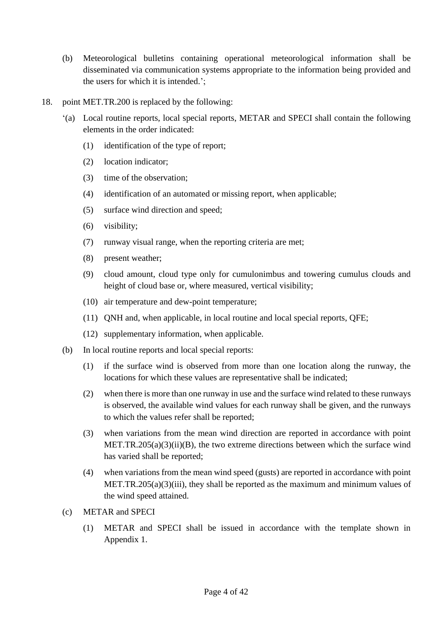- (b) Meteorological bulletins containing operational meteorological information shall be disseminated via communication systems appropriate to the information being provided and the users for which it is intended.';
- 18. point MET.TR.200 is replaced by the following:
	- '(a) Local routine reports, local special reports, METAR and SPECI shall contain the following elements in the order indicated:
		- (1) identification of the type of report;
		- (2) location indicator;
		- (3) time of the observation;
		- (4) identification of an automated or missing report, when applicable;
		- (5) surface wind direction and speed;
		- (6) visibility;
		- (7) runway visual range, when the reporting criteria are met;
		- (8) present weather;
		- (9) cloud amount, cloud type only for cumulonimbus and towering cumulus clouds and height of cloud base or, where measured, vertical visibility;
		- (10) air temperature and dew-point temperature;
		- (11) QNH and, when applicable, in local routine and local special reports, QFE;
		- (12) supplementary information, when applicable.
	- (b) In local routine reports and local special reports:
		- (1) if the surface wind is observed from more than one location along the runway, the locations for which these values are representative shall be indicated;
		- (2) when there is more than one runway in use and the surface wind related to these runways is observed, the available wind values for each runway shall be given, and the runways to which the values refer shall be reported;
		- (3) when variations from the mean wind direction are reported in accordance with point MET.TR.205(a)(3)(ii)(B), the two extreme directions between which the surface wind has varied shall be reported;
		- (4) when variations from the mean wind speed (gusts) are reported in accordance with point MET.TR.205(a)(3)(iii), they shall be reported as the maximum and minimum values of the wind speed attained.
	- (c) METAR and SPECI
		- (1) METAR and SPECI shall be issued in accordance with the template shown in Appendix 1.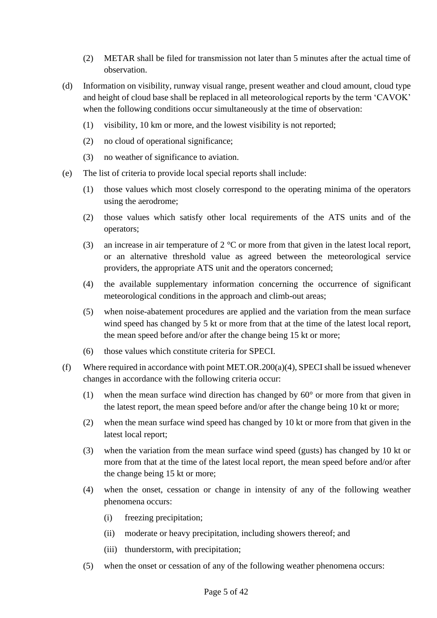- (2) METAR shall be filed for transmission not later than 5 minutes after the actual time of observation.
- (d) Information on visibility, runway visual range, present weather and cloud amount, cloud type and height of cloud base shall be replaced in all meteorological reports by the term 'CAVOK' when the following conditions occur simultaneously at the time of observation:
	- (1) visibility, 10 km or more, and the lowest visibility is not reported;
	- (2) no cloud of operational significance;
	- (3) no weather of significance to aviation.
- (e) The list of criteria to provide local special reports shall include:
	- (1) those values which most closely correspond to the operating minima of the operators using the aerodrome;
	- (2) those values which satisfy other local requirements of the ATS units and of the operators;
	- (3) an increase in air temperature of  $2^{\circ}$ C or more from that given in the latest local report, or an alternative threshold value as agreed between the meteorological service providers, the appropriate ATS unit and the operators concerned;
	- (4) the available supplementary information concerning the occurrence of significant meteorological conditions in the approach and climb-out areas;
	- (5) when noise-abatement procedures are applied and the variation from the mean surface wind speed has changed by 5 kt or more from that at the time of the latest local report, the mean speed before and/or after the change being 15 kt or more;
	- (6) those values which constitute criteria for SPECI.
- (f) Where required in accordance with point MET.OR.200(a)(4), SPECI shall be issued whenever changes in accordance with the following criteria occur:
	- (1) when the mean surface wind direction has changed by  $60^{\circ}$  or more from that given in the latest report, the mean speed before and/or after the change being 10 kt or more;
	- (2) when the mean surface wind speed has changed by 10 kt or more from that given in the latest local report;
	- (3) when the variation from the mean surface wind speed (gusts) has changed by 10 kt or more from that at the time of the latest local report, the mean speed before and/or after the change being 15 kt or more;
	- (4) when the onset, cessation or change in intensity of any of the following weather phenomena occurs:
		- (i) freezing precipitation;
		- (ii) moderate or heavy precipitation, including showers thereof; and
		- (iii) thunderstorm, with precipitation;
	- (5) when the onset or cessation of any of the following weather phenomena occurs: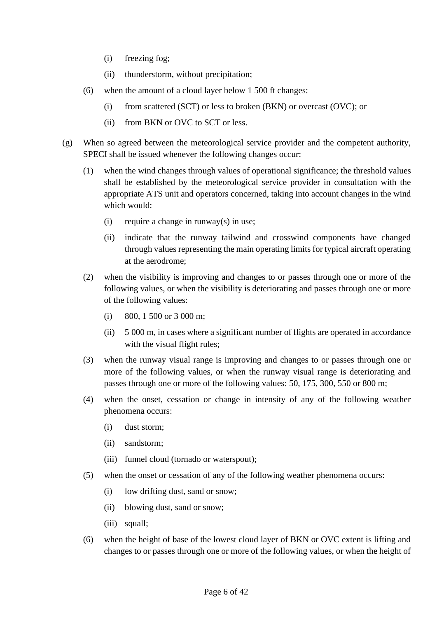- (i) freezing fog;
- (ii) thunderstorm, without precipitation;
- (6) when the amount of a cloud layer below 1 500 ft changes:
	- (i) from scattered (SCT) or less to broken (BKN) or overcast (OVC); or
	- (ii) from BKN or OVC to SCT or less.
- (g) When so agreed between the meteorological service provider and the competent authority, SPECI shall be issued whenever the following changes occur:
	- (1) when the wind changes through values of operational significance; the threshold values shall be established by the meteorological service provider in consultation with the appropriate ATS unit and operators concerned, taking into account changes in the wind which would:
		- (i) require a change in runway(s) in use;
		- (ii) indicate that the runway tailwind and crosswind components have changed through values representing the main operating limits for typical aircraft operating at the aerodrome;
	- (2) when the visibility is improving and changes to or passes through one or more of the following values, or when the visibility is deteriorating and passes through one or more of the following values:
		- (i) 800, 1 500 or 3 000 m;
		- (ii) 5 000 m, in cases where a significant number of flights are operated in accordance with the visual flight rules:
	- (3) when the runway visual range is improving and changes to or passes through one or more of the following values, or when the runway visual range is deteriorating and passes through one or more of the following values: 50, 175, 300, 550 or 800 m;
	- (4) when the onset, cessation or change in intensity of any of the following weather phenomena occurs:
		- (i) dust storm;
		- (ii) sandstorm;
		- (iii) funnel cloud (tornado or waterspout);
	- (5) when the onset or cessation of any of the following weather phenomena occurs:
		- (i) low drifting dust, sand or snow;
		- (ii) blowing dust, sand or snow;
		- (iii) squall;
	- (6) when the height of base of the lowest cloud layer of BKN or OVC extent is lifting and changes to or passes through one or more of the following values, or when the height of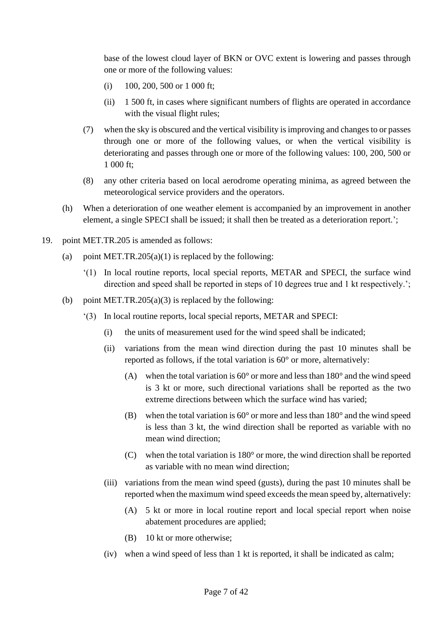base of the lowest cloud layer of BKN or OVC extent is lowering and passes through one or more of the following values:

- (i) 100, 200, 500 or 1 000 ft;
- (ii) 1 500 ft, in cases where significant numbers of flights are operated in accordance with the visual flight rules;
- (7) when the sky is obscured and the vertical visibility is improving and changes to or passes through one or more of the following values, or when the vertical visibility is deteriorating and passes through one or more of the following values: 100, 200, 500 or 1 000 ft;
- (8) any other criteria based on local aerodrome operating minima, as agreed between the meteorological service providers and the operators.
- (h) When a deterioration of one weather element is accompanied by an improvement in another element, a single SPECI shall be issued; it shall then be treated as a deterioration report.';
- 19. point MET.TR.205 is amended as follows:
	- (a) point MET.TR.205(a)(1) is replaced by the following:
		- '(1) In local routine reports, local special reports, METAR and SPECI, the surface wind direction and speed shall be reported in steps of 10 degrees true and 1 kt respectively.';
	- (b) point MET.TR.205(a)(3) is replaced by the following:
		- '(3) In local routine reports, local special reports, METAR and SPECI:
			- (i) the units of measurement used for the wind speed shall be indicated;
			- (ii) variations from the mean wind direction during the past 10 minutes shall be reported as follows, if the total variation is 60° or more, alternatively:
				- (A) when the total variation is 60° or more and less than 180° and the wind speed is 3 kt or more, such directional variations shall be reported as the two extreme directions between which the surface wind has varied;
				- (B) when the total variation is 60° or more and less than 180° and the wind speed is less than 3 kt, the wind direction shall be reported as variable with no mean wind direction;
				- (C) when the total variation is 180° or more, the wind direction shall be reported as variable with no mean wind direction;
			- (iii) variations from the mean wind speed (gusts), during the past 10 minutes shall be reported when the maximum wind speed exceeds the mean speed by, alternatively:
				- (A) 5 kt or more in local routine report and local special report when noise abatement procedures are applied;
				- (B) 10 kt or more otherwise;
			- (iv) when a wind speed of less than 1 kt is reported, it shall be indicated as calm;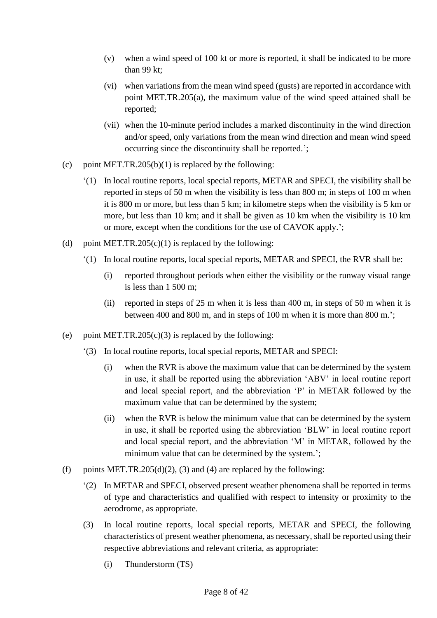- (v) when a wind speed of 100 kt or more is reported, it shall be indicated to be more than 99 kt;
- (vi) when variations from the mean wind speed (gusts) are reported in accordance with point MET.TR.205(a), the maximum value of the wind speed attained shall be reported;
- (vii) when the 10-minute period includes a marked discontinuity in the wind direction and/or speed, only variations from the mean wind direction and mean wind speed occurring since the discontinuity shall be reported.';
- (c) point MET.TR.205(b)(1) is replaced by the following:
	- '(1) In local routine reports, local special reports, METAR and SPECI, the visibility shall be reported in steps of 50 m when the visibility is less than 800 m; in steps of 100 m when it is 800 m or more, but less than 5 km; in kilometre steps when the visibility is 5 km or more, but less than 10 km; and it shall be given as 10 km when the visibility is 10 km or more, except when the conditions for the use of CAVOK apply.';
- (d) point MET.TR.205(c)(1) is replaced by the following:
	- '(1) In local routine reports, local special reports, METAR and SPECI, the RVR shall be:
		- (i) reported throughout periods when either the visibility or the runway visual range is less than 1 500 m;
		- (ii) reported in steps of 25 m when it is less than 400 m, in steps of 50 m when it is between 400 and 800 m, and in steps of 100 m when it is more than 800 m.';
- (e) point MET.TR.205(c)(3) is replaced by the following:
	- '(3) In local routine reports, local special reports, METAR and SPECI:
		- (i) when the RVR is above the maximum value that can be determined by the system in use, it shall be reported using the abbreviation 'ABV' in local routine report and local special report, and the abbreviation 'P' in METAR followed by the maximum value that can be determined by the system;
		- (ii) when the RVR is below the minimum value that can be determined by the system in use, it shall be reported using the abbreviation 'BLW' in local routine report and local special report, and the abbreviation 'M' in METAR, followed by the minimum value that can be determined by the system.';
- (f) points MET.TR.205(d)(2), (3) and (4) are replaced by the following:
	- '(2) In METAR and SPECI, observed present weather phenomena shall be reported in terms of type and characteristics and qualified with respect to intensity or proximity to the aerodrome, as appropriate.
	- (3) In local routine reports, local special reports, METAR and SPECI, the following characteristics of present weather phenomena, as necessary, shall be reported using their respective abbreviations and relevant criteria, as appropriate:
		- (i) Thunderstorm (TS)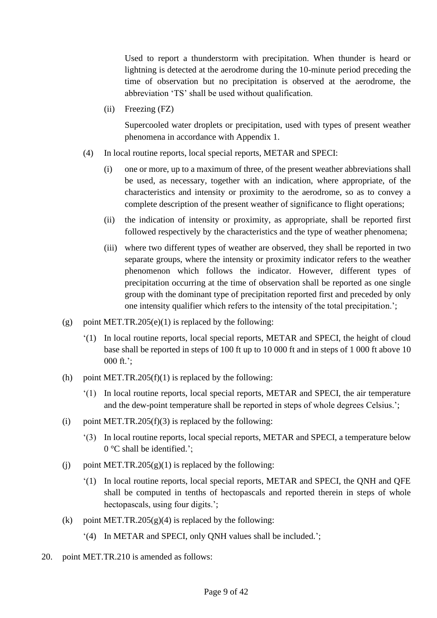Used to report a thunderstorm with precipitation. When thunder is heard or lightning is detected at the aerodrome during the 10-minute period preceding the time of observation but no precipitation is observed at the aerodrome, the abbreviation 'TS' shall be used without qualification.

(ii) Freezing (FZ)

Supercooled water droplets or precipitation, used with types of present weather phenomena in accordance with Appendix 1.

- (4) In local routine reports, local special reports, METAR and SPECI:
	- (i) one or more, up to a maximum of three, of the present weather abbreviations shall be used, as necessary, together with an indication, where appropriate, of the characteristics and intensity or proximity to the aerodrome, so as to convey a complete description of the present weather of significance to flight operations;
	- (ii) the indication of intensity or proximity, as appropriate, shall be reported first followed respectively by the characteristics and the type of weather phenomena;
	- (iii) where two different types of weather are observed, they shall be reported in two separate groups, where the intensity or proximity indicator refers to the weather phenomenon which follows the indicator. However, different types of precipitation occurring at the time of observation shall be reported as one single group with the dominant type of precipitation reported first and preceded by only one intensity qualifier which refers to the intensity of the total precipitation.';
- (g) point MET.TR.205(e)(1) is replaced by the following:
	- '(1) In local routine reports, local special reports, METAR and SPECI, the height of cloud base shall be reported in steps of 100 ft up to 10 000 ft and in steps of 1 000 ft above 10 000 ft.';
- (h) point MET.TR.205 $(f)(1)$  is replaced by the following:
	- '(1) In local routine reports, local special reports, METAR and SPECI, the air temperature and the dew-point temperature shall be reported in steps of whole degrees Celsius.';
- (i) point MET.TR.205(f)(3) is replaced by the following:
	- '(3) In local routine reports, local special reports, METAR and SPECI, a temperature below 0 °C shall be identified.';
- (i) point MET.TR.205 $(g)(1)$  is replaced by the following:
	- '(1) In local routine reports, local special reports, METAR and SPECI, the QNH and QFE shall be computed in tenths of hectopascals and reported therein in steps of whole hectopascals, using four digits.';
- (k) point MET.TR.205 $(g)(4)$  is replaced by the following:
	- '(4) In METAR and SPECI, only QNH values shall be included.';
- 20. point MET.TR.210 is amended as follows: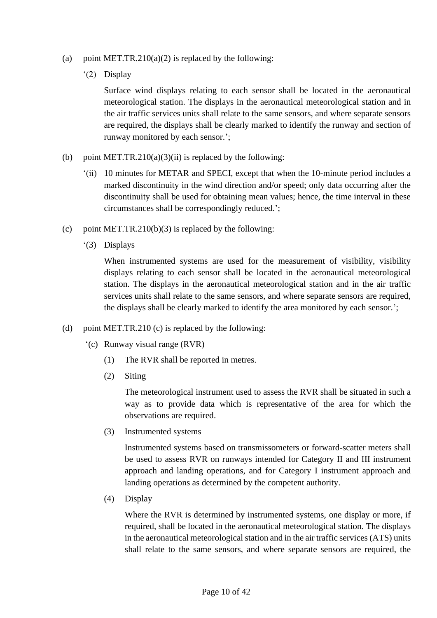- (a) point MET.TR.210(a)(2) is replaced by the following:
	- '(2) Display

Surface wind displays relating to each sensor shall be located in the aeronautical meteorological station. The displays in the aeronautical meteorological station and in the air traffic services units shall relate to the same sensors, and where separate sensors are required, the displays shall be clearly marked to identify the runway and section of runway monitored by each sensor.';

- (b) point MET.TR.210(a)(3)(ii) is replaced by the following:
	- '(ii) 10 minutes for METAR and SPECI, except that when the 10-minute period includes a marked discontinuity in the wind direction and/or speed; only data occurring after the discontinuity shall be used for obtaining mean values; hence, the time interval in these circumstances shall be correspondingly reduced.';
- (c) point MET.TR.210(b)(3) is replaced by the following:
	- '(3) Displays

When instrumented systems are used for the measurement of visibility, visibility displays relating to each sensor shall be located in the aeronautical meteorological station. The displays in the aeronautical meteorological station and in the air traffic services units shall relate to the same sensors, and where separate sensors are required, the displays shall be clearly marked to identify the area monitored by each sensor.';

- (d) point MET.TR.210 (c) is replaced by the following:
	- '(c) Runway visual range (RVR)
		- (1) The RVR shall be reported in metres.
		- (2) Siting

The meteorological instrument used to assess the RVR shall be situated in such a way as to provide data which is representative of the area for which the observations are required.

(3) Instrumented systems

Instrumented systems based on transmissometers or forward-scatter meters shall be used to assess RVR on runways intended for Category II and III instrument approach and landing operations, and for Category I instrument approach and landing operations as determined by the competent authority.

(4) Display

Where the RVR is determined by instrumented systems, one display or more, if required, shall be located in the aeronautical meteorological station. The displays in the aeronautical meteorological station and in the air traffic services (ATS) units shall relate to the same sensors, and where separate sensors are required, the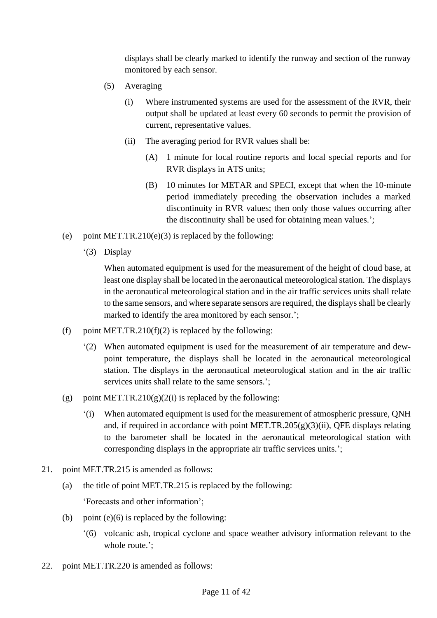displays shall be clearly marked to identify the runway and section of the runway monitored by each sensor.

- (5) Averaging
	- (i) Where instrumented systems are used for the assessment of the RVR, their output shall be updated at least every 60 seconds to permit the provision of current, representative values.
	- (ii) The averaging period for RVR values shall be:
		- (A) 1 minute for local routine reports and local special reports and for RVR displays in ATS units;
		- (B) 10 minutes for METAR and SPECI, except that when the 10-minute period immediately preceding the observation includes a marked discontinuity in RVR values; then only those values occurring after the discontinuity shall be used for obtaining mean values.';
- (e) point MET.TR.210(e)(3) is replaced by the following:
	- '(3) Display

When automated equipment is used for the measurement of the height of cloud base, at least one display shall be located in the aeronautical meteorological station. The displays in the aeronautical meteorological station and in the air traffic services units shall relate to the same sensors, and where separate sensors are required, the displays shall be clearly marked to identify the area monitored by each sensor.';

- (f) point MET.TR.210(f)(2) is replaced by the following:
	- '(2) When automated equipment is used for the measurement of air temperature and dewpoint temperature, the displays shall be located in the aeronautical meteorological station. The displays in the aeronautical meteorological station and in the air traffic services units shall relate to the same sensors.';
- (g) point MET.TR.210(g)(2(i) is replaced by the following:
	- '(i) When automated equipment is used for the measurement of atmospheric pressure, QNH and, if required in accordance with point MET.TR.205 $(g)(3)(ii)$ , QFE displays relating to the barometer shall be located in the aeronautical meteorological station with corresponding displays in the appropriate air traffic services units.';
- 21. point MET.TR.215 is amended as follows:
	- (a) the title of point MET.TR.215 is replaced by the following: 'Forecasts and other information';
	- (b) point  $(e)(6)$  is replaced by the following:
		- '(6) volcanic ash, tropical cyclone and space weather advisory information relevant to the whole route.';
- 22. point MET.TR.220 is amended as follows: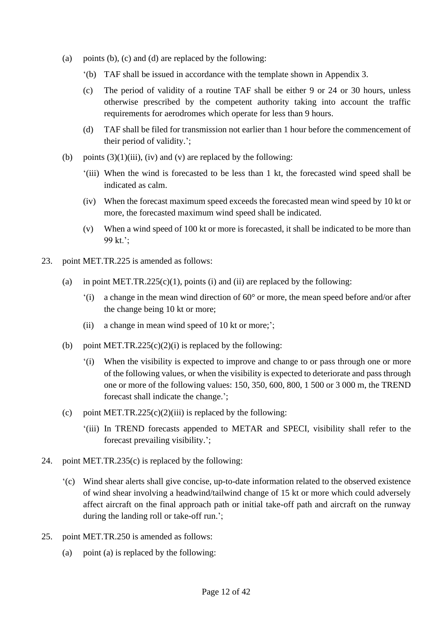- (a) points (b), (c) and (d) are replaced by the following:
	- '(b) TAF shall be issued in accordance with the template shown in Appendix 3.
	- (c) The period of validity of a routine TAF shall be either 9 or 24 or 30 hours, unless otherwise prescribed by the competent authority taking into account the traffic requirements for aerodromes which operate for less than 9 hours.
	- (d) TAF shall be filed for transmission not earlier than 1 hour before the commencement of their period of validity.';
- (b) points  $(3)(1)(iii)$ , (iv) and (v) are replaced by the following:
	- '(iii) When the wind is forecasted to be less than 1 kt, the forecasted wind speed shall be indicated as calm.
	- (iv) When the forecast maximum speed exceeds the forecasted mean wind speed by 10 kt or more, the forecasted maximum wind speed shall be indicated.
	- (v) When a wind speed of 100 kt or more is forecasted, it shall be indicated to be more than 99 kt.';
- 23. point MET.TR.225 is amended as follows:
	- (a) in point MET.TR.225(c)(1), points (i) and (ii) are replaced by the following:
		- '(i) a change in the mean wind direction of 60° or more, the mean speed before and/or after the change being 10 kt or more;
		- (ii) a change in mean wind speed of 10 kt or more;';
	- (b) point MET.TR.225(c)(2)(i) is replaced by the following:
		- '(i) When the visibility is expected to improve and change to or pass through one or more of the following values, or when the visibility is expected to deteriorate and pass through one or more of the following values: 150, 350, 600, 800, 1 500 or 3 000 m, the TREND forecast shall indicate the change.';
	- (c) point MET.TR.225(c)(2)(iii) is replaced by the following:
		- '(iii) In TREND forecasts appended to METAR and SPECI, visibility shall refer to the forecast prevailing visibility.';
- 24. point MET.TR.235(c) is replaced by the following:
	- '(c) Wind shear alerts shall give concise, up-to-date information related to the observed existence of wind shear involving a headwind/tailwind change of 15 kt or more which could adversely affect aircraft on the final approach path or initial take-off path and aircraft on the runway during the landing roll or take-off run.';
- 25. point MET.TR.250 is amended as follows:
	- (a) point (a) is replaced by the following: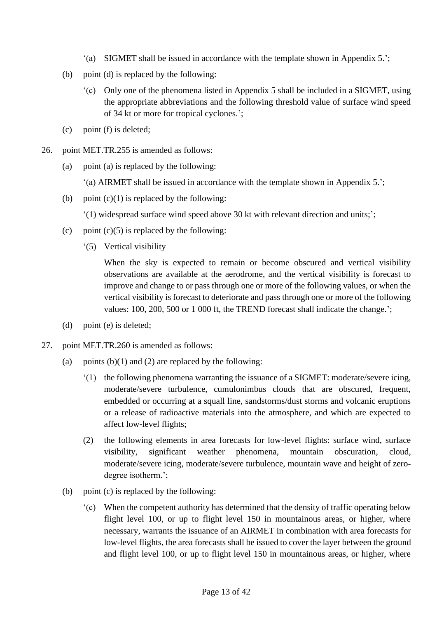- '(a) SIGMET shall be issued in accordance with the template shown in Appendix 5.';
- (b) point (d) is replaced by the following:
	- '(c) Only one of the phenomena listed in Appendix 5 shall be included in a SIGMET, using the appropriate abbreviations and the following threshold value of surface wind speed of 34 kt or more for tropical cyclones.';
- (c) point (f) is deleted;
- 26. point MET.TR.255 is amended as follows:
	- (a) point (a) is replaced by the following:
		- '(a) AIRMET shall be issued in accordance with the template shown in Appendix 5.';
	- (b) point  $(c)(1)$  is replaced by the following:
		- '(1) widespread surface wind speed above 30 kt with relevant direction and units;';
	- (c) point  $(c)(5)$  is replaced by the following:
		- '(5) Vertical visibility

When the sky is expected to remain or become obscured and vertical visibility observations are available at the aerodrome, and the vertical visibility is forecast to improve and change to or pass through one or more of the following values, or when the vertical visibility is forecast to deteriorate and pass through one or more of the following values: 100, 200, 500 or 1 000 ft, the TREND forecast shall indicate the change.';

- (d) point (e) is deleted;
- 27. point MET.TR.260 is amended as follows:
	- (a) points  $(b)(1)$  and  $(2)$  are replaced by the following:
		- '(1) the following phenomena warranting the issuance of a SIGMET: moderate/severe icing, moderate/severe turbulence, cumulonimbus clouds that are obscured, frequent, embedded or occurring at a squall line, sandstorms/dust storms and volcanic eruptions or a release of radioactive materials into the atmosphere, and which are expected to affect low-level flights;
		- (2) the following elements in area forecasts for low-level flights: surface wind, surface visibility, significant weather phenomena, mountain obscuration, cloud, moderate/severe icing, moderate/severe turbulence, mountain wave and height of zerodegree isotherm.';
	- (b) point (c) is replaced by the following:
		- '(c) When the competent authority has determined that the density of traffic operating below flight level 100, or up to flight level 150 in mountainous areas, or higher, where necessary, warrants the issuance of an AIRMET in combination with area forecasts for low-level flights, the area forecasts shall be issued to cover the layer between the ground and flight level 100, or up to flight level 150 in mountainous areas, or higher, where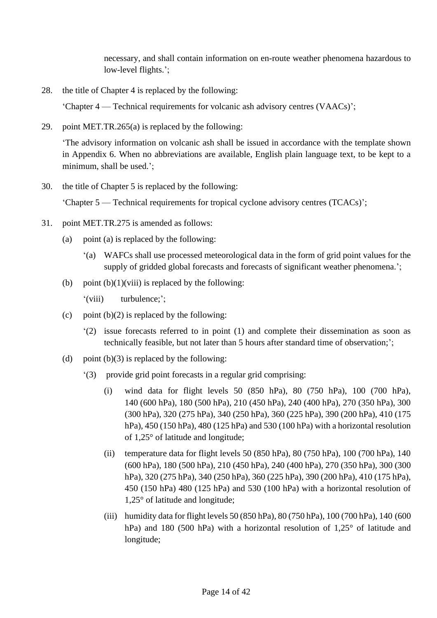necessary, and shall contain information on en-route weather phenomena hazardous to low-level flights.';

28. the title of Chapter 4 is replaced by the following:

'Chapter 4 — Technical requirements for volcanic ash advisory centres (VAACs)';

29. point MET.TR.265(a) is replaced by the following:

'The advisory information on volcanic ash shall be issued in accordance with the template shown in Appendix 6. When no abbreviations are available, English plain language text, to be kept to a minimum, shall be used.';

30. the title of Chapter 5 is replaced by the following:

'Chapter 5 — Technical requirements for tropical cyclone advisory centres (TCACs)';

- 31. point MET.TR.275 is amended as follows:
	- (a) point (a) is replaced by the following:
		- '(a) WAFCs shall use processed meteorological data in the form of grid point values for the supply of gridded global forecasts and forecasts of significant weather phenomena.';
	- (b) point  $(b)(1)(viii)$  is replaced by the following:
		- '(viii) turbulence;';
	- (c) point  $(b)(2)$  is replaced by the following:
		- '(2) issue forecasts referred to in point (1) and complete their dissemination as soon as technically feasible, but not later than 5 hours after standard time of observation;';
	- (d) point  $(b)(3)$  is replaced by the following:
		- '(3) provide grid point forecasts in a regular grid comprising:
			- (i) wind data for flight levels 50 (850 hPa), 80 (750 hPa), 100 (700 hPa), 140 (600 hPa), 180 (500 hPa), 210 (450 hPa), 240 (400 hPa), 270 (350 hPa), 300 (300 hPa), 320 (275 hPa), 340 (250 hPa), 360 (225 hPa), 390 (200 hPa), 410 (175 hPa), 450 (150 hPa), 480 (125 hPa) and 530 (100 hPa) with a horizontal resolution of 1,25° of latitude and longitude;
			- (ii) temperature data for flight levels  $50 (850 hPa)$ ,  $80 (750 hPa)$ ,  $100 (700 hPa)$ ,  $140$ (600 hPa), 180 (500 hPa), 210 (450 hPa), 240 (400 hPa), 270 (350 hPa), 300 (300 hPa), 320 (275 hPa), 340 (250 hPa), 360 (225 hPa), 390 (200 hPa), 410 (175 hPa), 450 (150 hPa) 480 (125 hPa) and 530 (100 hPa) with a horizontal resolution of 1,25° of latitude and longitude;
			- (iii) humidity data for flight levels 50 (850 hPa), 80 (750 hPa), 100 (700 hPa), 140 (600 hPa) and 180 (500 hPa) with a horizontal resolution of 1,25° of latitude and longitude;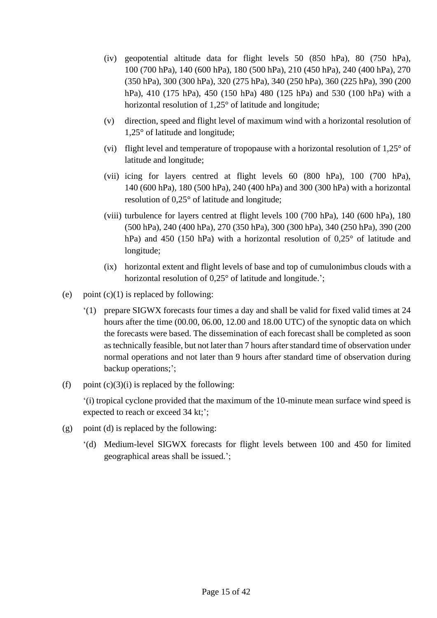- (iv) geopotential altitude data for flight levels 50 (850 hPa), 80 (750 hPa), 100 (700 hPa), 140 (600 hPa), 180 (500 hPa), 210 (450 hPa), 240 (400 hPa), 270 (350 hPa), 300 (300 hPa), 320 (275 hPa), 340 (250 hPa), 360 (225 hPa), 390 (200 hPa), 410 (175 hPa), 450 (150 hPa) 480 (125 hPa) and 530 (100 hPa) with a horizontal resolution of 1,25° of latitude and longitude;
- (v) direction, speed and flight level of maximum wind with a horizontal resolution of 1,25° of latitude and longitude;
- (vi) flight level and temperature of tropopause with a horizontal resolution of 1,25° of latitude and longitude;
- (vii) icing for layers centred at flight levels 60 (800 hPa), 100 (700 hPa), 140 (600 hPa), 180 (500 hPa), 240 (400 hPa) and 300 (300 hPa) with a horizontal resolution of 0,25° of latitude and longitude;
- (viii) turbulence for layers centred at flight levels 100 (700 hPa), 140 (600 hPa), 180 (500 hPa), 240 (400 hPa), 270 (350 hPa), 300 (300 hPa), 340 (250 hPa), 390 (200 hPa) and 450 (150 hPa) with a horizontal resolution of 0.25° of latitude and longitude;
- (ix) horizontal extent and flight levels of base and top of cumulonimbus clouds with a horizontal resolution of 0.25° of latitude and longitude.';
- (e) point  $(c)(1)$  is replaced by following:
	- '(1) prepare SIGWX forecasts four times a day and shall be valid for fixed valid times at 24 hours after the time (00.00, 06.00, 12.00 and 18.00 UTC) of the synoptic data on which the forecasts were based. The dissemination of each forecast shall be completed as soon as technically feasible, but not later than 7 hours after standard time of observation under normal operations and not later than 9 hours after standard time of observation during backup operations;';
- (f) point  $(c)(3)(i)$  is replaced by the following:

'(i) tropical cyclone provided that the maximum of the 10-minute mean surface wind speed is expected to reach or exceed 34 kt;';

- (g) point (d) is replaced by the following:
	- '(d) Medium-level SIGWX forecasts for flight levels between 100 and 450 for limited geographical areas shall be issued.';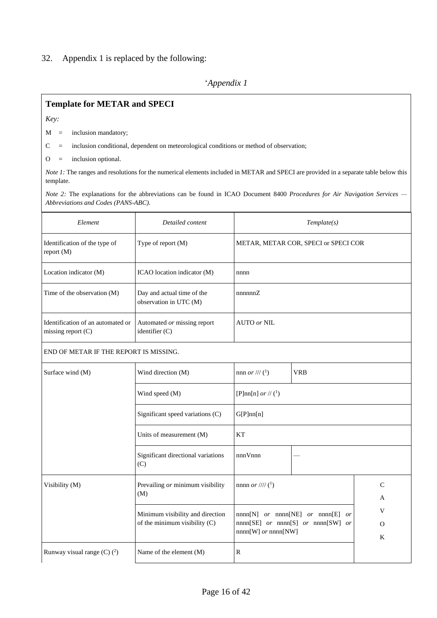#### 32. Appendix 1 is replaced by the following:

## '*Appendix 1*

### **Template for METAR and SPECI**

*Key:*

 $M =$  inclusion mandatory;

C = inclusion conditional, dependent on meteorological conditions or method of observation;

 $O =$  inclusion optional.

*Note 1*: The ranges and resolutions for the numerical elements included in METAR and SPECI are provided in a separate table below this template.

*Note 2:* The explanations for the abbreviations can be found in ICAO Document 8400 *Procedures for Air Navigation Services — Abbreviations and Codes (PANS-ABC)*.

| Element                                                   | Detailed content                                     |                                        | Template(s)                          |
|-----------------------------------------------------------|------------------------------------------------------|----------------------------------------|--------------------------------------|
| Identification of the type of<br>report (M)               | Type of report (M)                                   |                                        | METAR, METAR COR, SPECI or SPECI COR |
| Location indicator (M)                                    | ICAO location indicator (M)                          | nnnn                                   |                                      |
| Time of the observation (M)                               | Day and actual time of the<br>observation in UTC (M) | nnnnnZ                                 |                                      |
| Identification of an automated or<br>missing report $(C)$ | Automated or missing report<br>identifier $(C)$      | AUTO or NIL                            |                                      |
| END OF METAR IF THE REPORT IS MISSING.                    |                                                      |                                        |                                      |
| Surface wind (M)                                          | Wind direction (M)                                   | nnn <i>or</i> /// $(1)$                | <b>VRB</b>                           |
|                                                           | Wind speed (M)                                       | [P]nn[n] <i>or</i> // ( <sup>1</sup> ) |                                      |
|                                                           | Significant speed variations (C)                     | G[P]nn[n]                              |                                      |

| Visibility (M)                  | Prevailing or minimum visibility<br>(M)                             | nnnn <i>or</i> //// ( <sup>1</sup> )                                                                                     | A                  |
|---------------------------------|---------------------------------------------------------------------|--------------------------------------------------------------------------------------------------------------------------|--------------------|
|                                 | Minimum visibility and direction<br>of the minimum visibility $(C)$ | $nnnn[N]$ or $nnnn[NE]$ or $nnnn[E]$<br><i>or</i><br>$nnnn[SE]$ or $nnnn[S]$ or $nnnn[SW]$ or<br>$nnnn[W]$ or $nnnn[NW]$ | V<br>$\Omega$<br>K |
| Runway visual range $(C)$ $(2)$ | Name of the element $(M)$                                           | R                                                                                                                        |                    |

nnnVnnn —

Units of measurement  $(M)$  KT

Significant directional variations

 $(C)$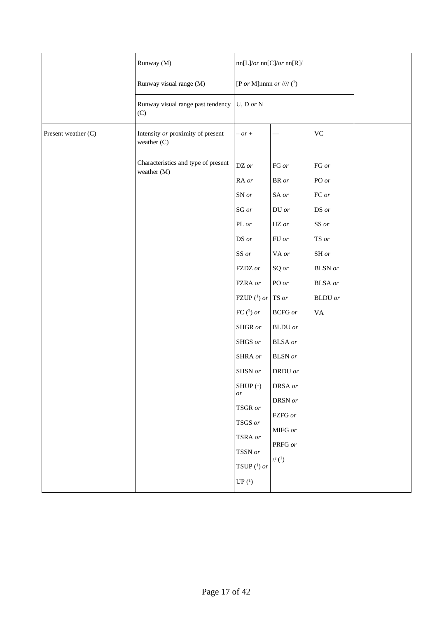|                     | Runway (M)                                         | nn[L]/or nn[C]/or nn[R]/                                                                                                                                                                         |                                                                                                                                                                                                                          |                                                                                                                                                         |  |
|---------------------|----------------------------------------------------|--------------------------------------------------------------------------------------------------------------------------------------------------------------------------------------------------|--------------------------------------------------------------------------------------------------------------------------------------------------------------------------------------------------------------------------|---------------------------------------------------------------------------------------------------------------------------------------------------------|--|
|                     | Runway visual range (M)                            | [P or M]nnnn or //// $(1)$                                                                                                                                                                       |                                                                                                                                                                                                                          |                                                                                                                                                         |  |
|                     | Runway visual range past tendency<br>(C)           | $U, D \text{ or } N$                                                                                                                                                                             |                                                                                                                                                                                                                          |                                                                                                                                                         |  |
| Present weather (C) | Intensity or proximity of present<br>weather $(C)$ | $- or +$                                                                                                                                                                                         |                                                                                                                                                                                                                          | $\rm VC$                                                                                                                                                |  |
|                     | Characteristics and type of present<br>weather (M) | DZ or<br>RA or<br>SN or<br>$SG$ $or$<br>PL or<br>DS or<br>SS or<br>FZDZ or<br>FZRA or<br>FZUP $(^1)$ or TS or<br>FC $(3)$ or<br>SHGR $\emph{or}$<br>SHGS or<br>SHRA or<br>SHSN or<br>SHUP $(^1)$ | FG or<br>$\textsf{BR}$ or<br>SA or<br>$DU$ $or$<br>$HZ$ or<br>${\rm FU}$ or<br>VA or<br>SQ or<br>PO or<br><b>BCFG</b> or<br>$\operatorname{BLDU}$ or<br>$\operatorname{BLSA}$ or<br><b>BLSN</b> or<br>DRDU or<br>DRSA or | FG or<br>PO or<br>$FC$ $\emph{or}$<br>DS or<br>SS or<br>TS or<br>$SH$ $or$<br><b>BLSN</b> or<br>$\operatorname{BLSA}$ or<br><b>BLDU</b> or<br><b>VA</b> |  |
|                     |                                                    | $\emph{or}$<br>TSGR or<br>TSGS or<br>TSRA or<br>TSSN or<br>TSUP $(1)$ or<br>$UP(1)$                                                                                                              | DRSN or<br>FZFG or<br>MIFG or<br>PRFG or<br>// $(1)$                                                                                                                                                                     |                                                                                                                                                         |  |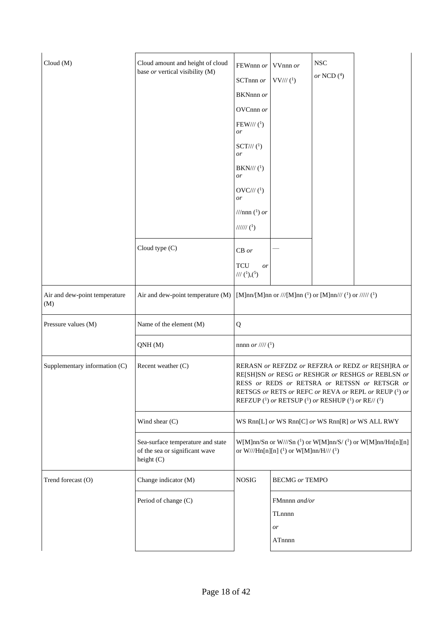| Cloud(M)                             | Cloud amount and height of cloud<br>base or vertical visibility (M)               | FEWnnn or                                      | VVnnn or                                                         | <b>NSC</b>                                               |                                                                                                                                                                                                                  |
|--------------------------------------|-----------------------------------------------------------------------------------|------------------------------------------------|------------------------------------------------------------------|----------------------------------------------------------|------------------------------------------------------------------------------------------------------------------------------------------------------------------------------------------------------------------|
|                                      |                                                                                   | SCTnnn or                                      | $VV\!/\!/$ ( <sup>1</sup> )                                      | or NCD $(^4)$                                            |                                                                                                                                                                                                                  |
|                                      |                                                                                   | BKNnnn or                                      |                                                                  |                                                          |                                                                                                                                                                                                                  |
|                                      |                                                                                   | OVCnnn or                                      |                                                                  |                                                          |                                                                                                                                                                                                                  |
|                                      |                                                                                   | $FEW\frac{1}{1}$ ( <sup>1</sup> )<br><i>or</i> |                                                                  |                                                          |                                                                                                                                                                                                                  |
|                                      |                                                                                   | $SCT/\!/\!/$ ( <sup>1</sup> )<br><i>or</i>     |                                                                  |                                                          |                                                                                                                                                                                                                  |
|                                      |                                                                                   | $BKN\!/\!/\!/\,(1)$<br><i>or</i>               |                                                                  |                                                          |                                                                                                                                                                                                                  |
|                                      |                                                                                   | $OVC\!/\!/$ ( <sup>1</sup> )<br><i>or</i>      |                                                                  |                                                          |                                                                                                                                                                                                                  |
|                                      |                                                                                   | ///nnn $(^1)$ or                               |                                                                  |                                                          |                                                                                                                                                                                                                  |
|                                      |                                                                                   | $\frac{1}{\frac{1}{\sqrt{2}}}$                 |                                                                  |                                                          |                                                                                                                                                                                                                  |
|                                      | Cloud type (C)                                                                    | $CB$ or                                        |                                                                  |                                                          |                                                                                                                                                                                                                  |
|                                      |                                                                                   | TCU<br>or<br>/// $(1),(5)$                     |                                                                  |                                                          |                                                                                                                                                                                                                  |
| Air and dew-point temperature<br>(M) | Air and dew-point temperature (M)                                                 |                                                |                                                                  | [M]nn/[M]nn or ///[M]nn (1) or [M]nn/// (1) or ///// (1) |                                                                                                                                                                                                                  |
| Pressure values (M)                  | Name of the element (M)                                                           | Q                                              |                                                                  |                                                          |                                                                                                                                                                                                                  |
|                                      | QNH(M)                                                                            | nnnn <i>or</i> //// $(^{1})$                   |                                                                  |                                                          |                                                                                                                                                                                                                  |
| Supplementary information (C)        | Recent weather (C)                                                                |                                                |                                                                  | REFZUP (1) or RETSUP (1) or RESHUP (1) or RE//(1)        | RERASN or REFZDZ or REFZRA or REDZ or RE[SH]RA or<br>RE[SH]SN or RESG or RESHGR or RESHGS or REBLSN or<br>RESS or REDS or RETSRA or RETSSN or RETSGR or<br>RETSGS or RETS or REFC or REVA or REPL or REUP (1) or |
|                                      | Wind shear (C)                                                                    |                                                |                                                                  |                                                          | WS Rnn[L] or WS Rnn[C] or WS Rnn[R] or WS ALL RWY                                                                                                                                                                |
|                                      | Sea-surface temperature and state<br>of the sea or significant wave<br>height (C) |                                                | or W///Hn[n][n] ( <sup>1</sup> ) or W[M]nn/H/// ( <sup>1</sup> ) |                                                          | W[M]nn/Sn or W///Sn $(1)$ or W[M]nn/S/ $(1)$ or W[M]nn/Hn[n][n]                                                                                                                                                  |
| Trend forecast (O)                   | Change indicator (M)                                                              | <b>NOSIG</b>                                   | <b>BECMG</b> or TEMPO                                            |                                                          |                                                                                                                                                                                                                  |
|                                      | Period of change (C)                                                              |                                                | FMnnnn and/or<br>TLnnnn<br>or<br>ATnnnn                          |                                                          |                                                                                                                                                                                                                  |
|                                      |                                                                                   |                                                |                                                                  |                                                          |                                                                                                                                                                                                                  |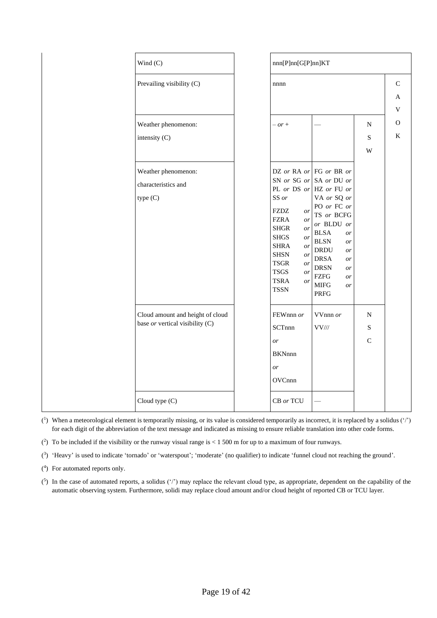| Wind $(C)$                                                          | nnn[P]nn[G[P]nn]KT                                                                                                                                                                                                                                                                                          |                                                                                                                                                                                                                  |                               |                                             |
|---------------------------------------------------------------------|-------------------------------------------------------------------------------------------------------------------------------------------------------------------------------------------------------------------------------------------------------------------------------------------------------------|------------------------------------------------------------------------------------------------------------------------------------------------------------------------------------------------------------------|-------------------------------|---------------------------------------------|
| Prevailing visibility (C)                                           | nnnn                                                                                                                                                                                                                                                                                                        |                                                                                                                                                                                                                  |                               | $\mathbf C$<br>A<br>$\overline{\mathsf{V}}$ |
| Weather phenomenon:                                                 | $- or +$                                                                                                                                                                                                                                                                                                    |                                                                                                                                                                                                                  | ${\bf N}$                     | $\mathbf{O}$                                |
| intensity (C)                                                       |                                                                                                                                                                                                                                                                                                             |                                                                                                                                                                                                                  | S<br>W                        | $\bf K$                                     |
| Weather phenomenon:<br>characteristics and<br>type(C)               | DZ or RA or FG or BR or<br>SN or SG or SA or DU or<br>PL or DS or HZ or FU or<br>SS or<br><b>FZDZ</b><br>or<br><b>FZRA</b><br>or<br><b>SHGR</b><br>or<br><b>SHGS</b><br>$\emph{or}$<br><b>SHRA</b><br>or<br><b>SHSN</b><br>or<br><b>TSGR</b><br>or<br><b>TSGS</b><br>or<br><b>TSRA</b><br>or<br><b>TSSN</b> | VA or SQ or<br>PO or FC or<br>TS or BCFG<br>or BLDU or<br><b>BLSA</b><br>or<br><b>BLSN</b><br>or<br><b>DRDU</b><br>or<br><b>DRSA</b><br>or<br><b>DRSN</b><br>or<br><b>FZFG</b><br>or<br>$\rm MIFG$<br>or<br>PRFG |                               |                                             |
| Cloud amount and height of cloud<br>base or vertical visibility (C) | FEWnnn or<br>SCTnnn<br>or<br><b>BKNnnn</b><br>or<br>OVCnnn                                                                                                                                                                                                                                                  | $VV$ nnn $or$<br>$VV\!/\!/$                                                                                                                                                                                      | ${\bf N}$<br>S<br>$\mathbf C$ |                                             |
| Cloud type (C)                                                      | CB or TCU                                                                                                                                                                                                                                                                                                   |                                                                                                                                                                                                                  |                               |                                             |

 $(1)$  When a meteorological element is temporarily missing, or its value is considered temporarily as incorrect, it is replaced by a solidus  $(')$ for each digit of the abbreviation of the text message and indicated as missing to ensure reliable translation into other code forms.

 $(2)$  To be included if the visibility or the runway visual range is < 1 500 m for up to a maximum of four runways.

( 3 ) 'Heavy' is used to indicate 'tornado' or 'waterspout'; 'moderate' (no qualifier) to indicate 'funnel cloud not reaching the ground'.

( 4 ) For automated reports only.

 $(5)$  In the case of automated reports, a solidus  $('')$  may replace the relevant cloud type, as appropriate, dependent on the capability of the automatic observing system. Furthermore, solidi may replace cloud amount and/or cloud height of reported CB or TCU layer.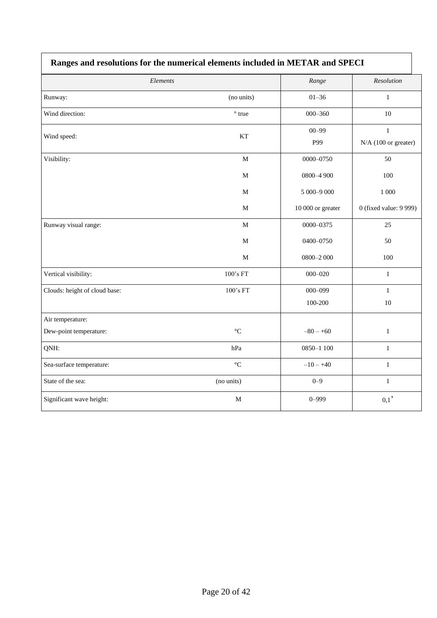|                               | cs and resolutions for the numerical elements metaded in the ring |                   |                                      |
|-------------------------------|-------------------------------------------------------------------|-------------------|--------------------------------------|
| Elements                      |                                                                   | Range             | Resolution                           |
| Runway:                       | (no units)                                                        | $01 - 36$         | $\mathbf{1}$                         |
| Wind direction:               | $^{\circ}$ true                                                   | $000 - 360$       | $10\,$                               |
| Wind speed:                   | KT                                                                | $00 - 99$<br>P99  | $\mathbf{1}$<br>N/A (100 or greater) |
| Visibility:                   | $\mathbf M$                                                       | 0000-0750         | 50                                   |
|                               | $\mathbf M$                                                       | 0800-4 900        | 100                                  |
|                               | $\mathbf M$                                                       | 5 000-9 000       | $1\;000$                             |
|                               | M                                                                 | 10 000 or greater | 0 (fixed value: 9 999)               |
| Runway visual range:          | $\mathbf M$                                                       | 0000-0375         | 25                                   |
|                               | M                                                                 | 0400-0750         | 50                                   |
|                               | $\mathbf M$                                                       | $0800 - 2000$     | 100                                  |
| Vertical visibility:          | 100's FT                                                          | $000 - 020$       | $\mathbf{1}$                         |
| Clouds: height of cloud base: | 100's FT                                                          | $000 - 099$       | $\mathbf{1}$                         |
|                               |                                                                   | 100-200           | $10\,$                               |
| Air temperature:              |                                                                   |                   |                                      |
| Dew-point temperature:        | $\rm ^{\circ}C$                                                   | $-80 - +60$       | $\mathbf{1}$                         |
| QNH:                          | hPa                                                               | 0850-1 100        | $\mathbf{1}$                         |
| Sea-surface temperature:      | $^{\circ}{\rm C}$                                                 | $-10 - +40$       | $\mathbf{1}$                         |
| State of the sea:             | (no units)                                                        | $0 - 9$           | $\mathbf{1}$                         |
| Significant wave height:      | $\mathbf M$                                                       | $0 - 999$         | 0,1                                  |

# **Ranges and resolutions for the numerical elements included in METAR and SPECI**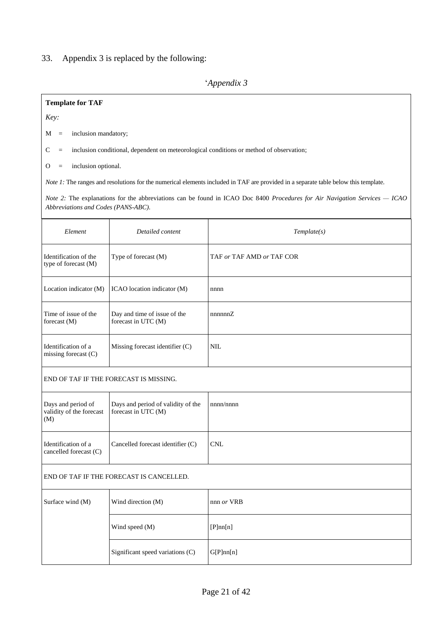### 33. Appendix 3 is replaced by the following:

### '*Appendix 3*

#### **Template for TAF**

*Key:*

 $M =$  inclusion mandatory;

 $C =$  inclusion conditional, dependent on meteorological conditions or method of observation;

O = inclusion optional.

*Note 1*: The ranges and resolutions for the numerical elements included in TAF are provided in a separate table below this template.

*Note 2:* The explanations for the abbreviations can be found in ICAO Doc 8400 *Procedures for Air Navigation Services — ICAO Abbreviations and Codes (PANS-ABC)*.

| Element                                       | Detailed content                                    | Template(s)               |
|-----------------------------------------------|-----------------------------------------------------|---------------------------|
| Identification of the<br>type of forecast (M) | Type of forecast $(M)$                              | TAF or TAF AMD or TAF COR |
| Location indicator (M)                        | ICAO location indicator (M)                         | nnnn                      |
| Time of issue of the<br>forecast $(M)$        | Day and time of issue of the<br>forecast in UTC (M) | nnnnnZ                    |
| Identification of a<br>missing forecast $(C)$ | Missing forecast identifier $(C)$                   | <b>NIL</b>                |

END OF TAF IF THE FORECAST IS MISSING.

| Days and period of<br>validity of the forecast<br>(M) | Days and period of validity of the<br>forecast in UTC (M) | nnnn/nnnn |
|-------------------------------------------------------|-----------------------------------------------------------|-----------|
| Identification of a<br>cancelled forecast $(C)$       | Cancelled forecast identifier (C)                         | CNL       |

#### END OF TAF IF THE FORECAST IS CANCELLED.

| Surface wind (M) | Wind direction (M)               | $nnn$ or VRB |
|------------------|----------------------------------|--------------|
|                  | Wind speed (M)                   | [P]nn[n]     |
|                  | Significant speed variations (C) | G[P]nn[n]    |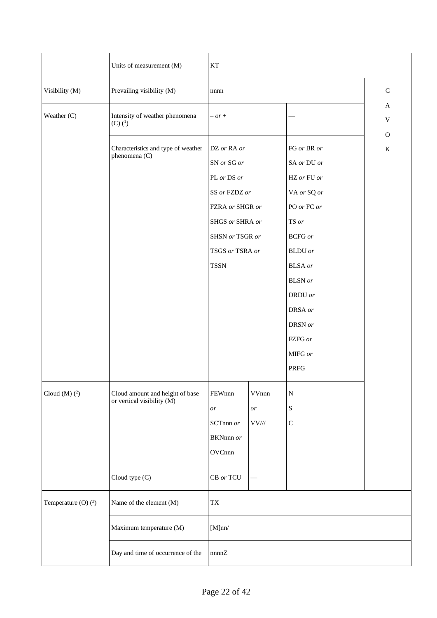|                        | Units of measurement (M)                                      | KT                                                                                                                                                    |                                                                    |                                                                                                                                                                                                                |                                           |  |
|------------------------|---------------------------------------------------------------|-------------------------------------------------------------------------------------------------------------------------------------------------------|--------------------------------------------------------------------|----------------------------------------------------------------------------------------------------------------------------------------------------------------------------------------------------------------|-------------------------------------------|--|
| Visibility (M)         | Prevailing visibility (M)                                     | nnnn                                                                                                                                                  |                                                                    |                                                                                                                                                                                                                | ${\bf C}$                                 |  |
| Weather (C)            | Intensity of weather phenomena<br>$(C)$ $(^{1})$              | $- or +$                                                                                                                                              |                                                                    |                                                                                                                                                                                                                | $\mathbf{A}$<br>$\ensuremath{\mathbf{V}}$ |  |
|                        | Characteristics and type of weather<br>phenomena (C)          | DZ or RA or<br>SN or SG or<br>PL or DS or<br>SS or FZDZ or<br>FZRA or SHGR or<br>SHGS or SHRA or<br>SHSN or TSGR or<br>TSGS or TSRA or<br><b>TSSN</b> |                                                                    | FG or BR or<br>SA or DU or<br>HZ or FU or<br>VA or SQ or<br>PO or FC or<br>TS or<br><b>BCFG</b> or<br><b>BLDU</b> or<br><b>BLSA</b> or<br>$\operatorname{BLSN}$ or<br>DRDU or<br>DRSA or<br>DRSN or<br>FZFG or | $\mathbf{O}$<br>$\bf K$                   |  |
|                        |                                                               |                                                                                                                                                       |                                                                    | MIFG or<br><b>PRFG</b>                                                                                                                                                                                         |                                           |  |
| Cloud $(M)$ $(^2)$     | Cloud amount and height of base<br>or vertical visibility (M) | FEWnnn<br>$\emph{or}$<br>SCTnnn or<br>BKNnnn or<br>OVCnnn                                                                                             | VVnnn<br>$\emph{or}$<br>$\ensuremath{\text{VV}\xspace\text{/\!/}}$ | ${\bf N}$<br>${\bf S}$<br>$\mathsf{C}$                                                                                                                                                                         |                                           |  |
|                        | Cloud type (C)                                                | CB or TCU                                                                                                                                             |                                                                    |                                                                                                                                                                                                                |                                           |  |
| Temperature (O) $(^3)$ | Name of the element (M)                                       | $\mathcal{T}\mathcal{X}$                                                                                                                              |                                                                    |                                                                                                                                                                                                                |                                           |  |
|                        | Maximum temperature (M)                                       | [M]nn/                                                                                                                                                |                                                                    |                                                                                                                                                                                                                |                                           |  |
|                        | Day and time of occurrence of the                             | nnnnZ                                                                                                                                                 |                                                                    |                                                                                                                                                                                                                |                                           |  |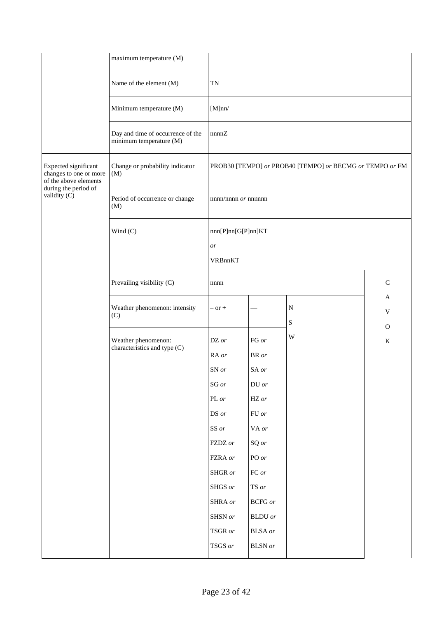|                                                                         | maximum temperature (M)                                      |                                                          |                             |           |          |
|-------------------------------------------------------------------------|--------------------------------------------------------------|----------------------------------------------------------|-----------------------------|-----------|----------|
|                                                                         | Name of the element (M)                                      | TN                                                       |                             |           |          |
|                                                                         | Minimum temperature (M)                                      | [M]nn/                                                   |                             |           |          |
|                                                                         | Day and time of occurrence of the<br>minimum temperature (M) | nnnnZ                                                    |                             |           |          |
| Expected significant<br>changes to one or more<br>of the above elements | Change or probability indicator<br>(M)                       | PROB30 [TEMPO] or PROB40 [TEMPO] or BECMG or TEMPO or FM |                             |           |          |
| during the period of<br>validity $(C)$                                  | Period of occurrence or change<br>(M)                        | $nnnn/nnnn$ or $nnnnnn$                                  |                             |           |          |
|                                                                         | Wind (C)                                                     | nnn[P]nn[G[P]nn]KT                                       |                             |           |          |
|                                                                         |                                                              | or                                                       |                             |           |          |
|                                                                         |                                                              | VRBnnKT                                                  |                             |           |          |
|                                                                         | Prevailing visibility (C)                                    | $\mathsf{C}$<br>nnnn                                     |                             |           |          |
|                                                                         | Weather phenomenon: intensity<br>(C)                         | $-$ or $+$                                               |                             | ${\bf N}$ | A<br>V   |
|                                                                         |                                                              |                                                          |                             | ${\bf S}$ | $\Omega$ |
|                                                                         | Weather phenomenon:                                          | DZ or                                                    | FG or                       | W         | $\rm K$  |
|                                                                         | characteristics and type (C)                                 | RA or                                                    | BR or                       |           |          |
|                                                                         |                                                              | SN or                                                    | SA or                       |           |          |
|                                                                         |                                                              | $SG\,or$                                                 | $\,$ DU $or$                |           |          |
|                                                                         |                                                              | PL or                                                    | $\rm HZ$ or                 |           |          |
|                                                                         |                                                              | $\operatorname{DS}$ or                                   | ${\rm FU}$ or               |           |          |
|                                                                         |                                                              | SS or                                                    | VA or                       |           |          |
|                                                                         |                                                              | FZDZ or                                                  | SQ or                       |           |          |
|                                                                         |                                                              | FZRA or                                                  | $\operatorname{PO}$ or      |           |          |
|                                                                         |                                                              | SHGR or                                                  | ${\rm FC}$ $or$             |           |          |
|                                                                         |                                                              | SHGS or                                                  | $\mathop{\hbox{TS}}$ or     |           |          |
|                                                                         |                                                              | SHRA or                                                  | $\mathop{\mathsf{BCFG}}$ or |           |          |
|                                                                         |                                                              | SHSN or                                                  | <b>BLDU</b> or              |           |          |
|                                                                         |                                                              | TSGR or                                                  | <b>BLSA</b> or              |           |          |
|                                                                         |                                                              | $TSGS$ $\emph{or}$                                       | $\operatorname{BLSN}$ or    |           |          |
|                                                                         |                                                              |                                                          |                             |           |          |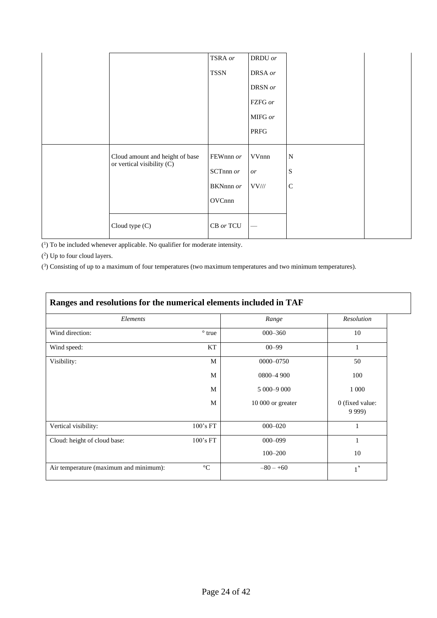|                                                                 | TSRA or     | DRDU or    |             |
|-----------------------------------------------------------------|-------------|------------|-------------|
|                                                                 | <b>TSSN</b> | DRSA or    |             |
|                                                                 |             | DRSN or    |             |
|                                                                 |             | FZFG or    |             |
|                                                                 |             | MIFG or    |             |
|                                                                 |             | PRFG       |             |
|                                                                 |             |            |             |
| Cloud amount and height of base<br>or vertical visibility $(C)$ | FEWnnn or   | VVnnn      | $\mathbf N$ |
|                                                                 | SCTnnn $or$ | or         | S           |
|                                                                 | BKNnnn or   | $VV\!/\!/$ | $\mathbf C$ |
|                                                                 | OVCnnn      |            |             |
|                                                                 |             |            |             |
| Cloud type (C)                                                  | CB or TCU   |            |             |

( 1 ) To be included whenever applicable. No qualifier for moderate intensity.

( 2 ) Up to four cloud layers.

( 3 ) Consisting of up to a maximum of four temperatures (two maximum temperatures and two minimum temperatures).

| Elements                               |                 | Range             | Resolution                   |
|----------------------------------------|-----------------|-------------------|------------------------------|
| Wind direction:                        | $\degree$ true  | $000 - 360$       | 10                           |
| Wind speed:                            | KT              | $00 - 99$         | 1                            |
| Visibility:                            | M               | 0000-0750         | 50                           |
|                                        | M               | 0800-4 900        | 100                          |
|                                        | M               | 5 000 - 9 000     | 1 0 0 0                      |
|                                        | M               | 10 000 or greater | 0 (fixed value:<br>9 9 9 9 ) |
| Vertical visibility:                   | 100's FT        | $000 - 020$       | 1                            |
| Cloud: height of cloud base:           | 100's FT        | $000 - 099$       | 1                            |
|                                        |                 | $100 - 200$       | 10                           |
| Air temperature (maximum and minimum): | $\rm ^{\circ}C$ | $-80 - +60$       | $1^{\prime}$                 |

#### **Ranges and resolutions for the numerical elements included in TAF**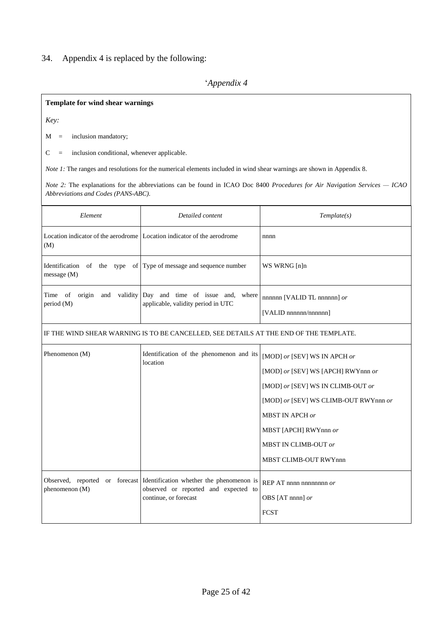### 34. Appendix 4 is replaced by the following:

## '*Appendix 4*

#### **Template for wind shear warnings**

*Key:*

M = inclusion mandatory;

C = inclusion conditional, whenever applicable.

*Note 1*: The ranges and resolutions for the numerical elements included in wind shear warnings are shown in Appendix 8.

*Note 2:* The explanations for the abbreviations can be found in ICAO Doc 8400 *Procedures for Air Navigation Services — ICAO Abbreviations and Codes (PANS-ABC)*.

| Element                                          | Detailed content                                                                                          | Template(s)                                                                                                                                                                                                                                          |
|--------------------------------------------------|-----------------------------------------------------------------------------------------------------------|------------------------------------------------------------------------------------------------------------------------------------------------------------------------------------------------------------------------------------------------------|
| (M)                                              | Location indicator of the aerodrome Location indicator of the aerodrome                                   | nnnn                                                                                                                                                                                                                                                 |
| Identification<br>message (M)                    | of the type of Type of message and sequence number                                                        | WS WRNG [n]n                                                                                                                                                                                                                                         |
| origin and validity<br>Time<br>of<br>period (M)  | Day and time of issue and, where<br>applicable, validity period in UTC                                    | nnnnn [VALID TL nnnnnn] or<br>[VALID nnnnnn/nnnnnn]                                                                                                                                                                                                  |
|                                                  | IF THE WIND SHEAR WARNING IS TO BE CANCELLED, SEE DETAILS AT THE END OF THE TEMPLATE.                     |                                                                                                                                                                                                                                                      |
| Phenomenon (M)                                   | Identification of the phenomenon and its<br>location                                                      | [MOD] or [SEV] WS IN APCH or<br>[MOD] or [SEV] WS [APCH] RWYnnn or<br>[MOD] or [SEV] WS IN CLIMB-OUT or<br>[MOD] or [SEV] WS CLIMB-OUT RWYnnn or<br><b>MBST IN APCH or</b><br>MBST [APCH] RWYnnn or<br>MBST IN CLIMB-OUT or<br>MBST CLIMB-OUT RWYnnn |
| Observed, reported or forecast<br>phenomenon (M) | Identification whether the phenomenon is<br>observed or reported and expected to<br>continue, or forecast | REP AT nnnn nnnnnnnn $or$<br>OBS [AT nnnn] or<br><b>FCST</b>                                                                                                                                                                                         |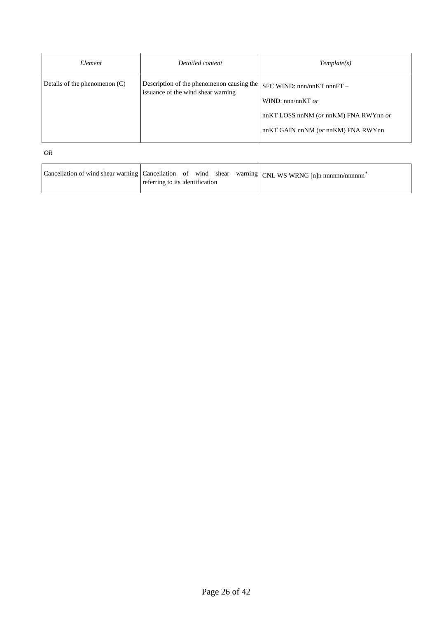| Element                         | Detailed content                                                                | Template(s)                                                                                                                                                |
|---------------------------------|---------------------------------------------------------------------------------|------------------------------------------------------------------------------------------------------------------------------------------------------------|
| Details of the phenomenon $(C)$ | Description of the phenomenon causing the<br>issuance of the wind shear warning | $SFC$ WIND: $nnn/nnKT$ $nnnFT$ –<br>WIND: $nnn/nnKT$ or<br>$nnKT$ LOSS $nnNM$ (or $nnKM$ ) FNA RWY $nn$ or<br>$nnKT$ GAIN $nnNM$ (or $nnKM$ ) FNA RWY $nn$ |

*OR*

| Cancellation of wind shear warning Cancellation of wind shear warning CNL WS WRNG [n]n nnnnnn/nnnnnn |
|------------------------------------------------------------------------------------------------------|
| referring to its identification                                                                      |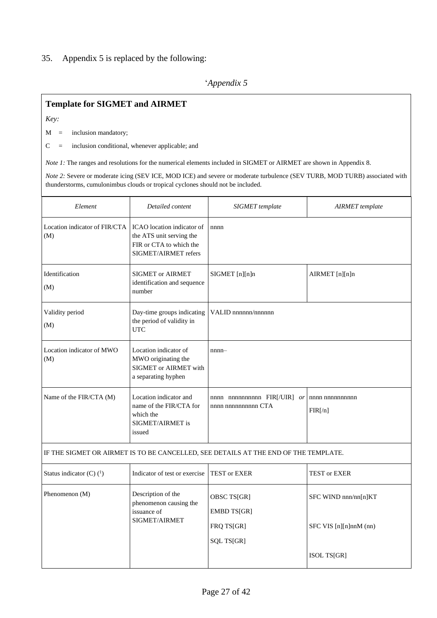### 35. Appendix 5 is replaced by the following:

## '*Appendix 5*

## **Template for SIGMET and AIRMET**

*Key:*

 $M =$  inclusion mandatory;

C = inclusion conditional, whenever applicable; and

*Note 1*: The ranges and resolutions for the numerical elements included in SIGMET or AIRMET are shown in Appendix 8.

*Note 2:* Severe or moderate icing (SEV ICE, MOD ICE) and severe or moderate turbulence (SEV TURB, MOD TURB) associated with thunderstorms, cumulonimbus clouds or tropical cyclones should not be included.

| Element                              | Detailed content                                                                                          | SIGMET template<br><b>AIRMET</b> template                                           |                                                |
|--------------------------------------|-----------------------------------------------------------------------------------------------------------|-------------------------------------------------------------------------------------|------------------------------------------------|
| Location indicator of FIR/CTA<br>(M) | ICAO location indicator of<br>the ATS unit serving the<br>FIR or CTA to which the<br>SIGMET/AIRMET refers | nnnn                                                                                |                                                |
| Identification<br>(M)                | <b>SIGMET or AIRMET</b><br>identification and sequence<br>number                                          | SIGMET [n][n]n                                                                      | AIRMET [n][n]n                                 |
| Validity period<br>(M)               | Day-time groups indicating<br>the period of validity in<br><b>UTC</b>                                     | VALID nnnnnn/nnnnnn                                                                 |                                                |
| Location indicator of MWO<br>(M)     | Location indicator of<br>MWO originating the<br>SIGMET or AIRMET with<br>a separating hyphen              | $nnnn-$                                                                             |                                                |
| Name of the FIR/CTA (M)              | Location indicator and<br>name of the FIR/CTA for<br>which the<br>SIGMET/AIRMET is<br>issued              | nnnn nnnnnnnnnn $FIR[/UIR]$ or<br>nnnn nnnnnnnnnn CTA                               | nnnn nnnnnnnnnn<br>FIR[ <sub>n</sub> ]         |
|                                      |                                                                                                           | IF THE SIGMET OR AIRMET IS TO BE CANCELLED, SEE DETAILS AT THE END OF THE TEMPLATE. |                                                |
| Status indicator (C) $(^1)$          | Indicator of test or exercise                                                                             | <b>TEST or EXER</b>                                                                 | <b>TEST or EXER</b>                            |
| Phenomenon (M)                       | Description of the<br>phenomenon causing the<br>issuance of<br>SIGMET/AIRMET                              | OBSC TS[GR]<br><b>EMBD TS[GR]</b><br>FRQ TS[GR]<br>SQL TS[GR]                       | SFC WIND nnn/nn[n]KT<br>SFC VIS [n][n]nnM (nn) |
|                                      |                                                                                                           |                                                                                     | ISOL TS[GR]                                    |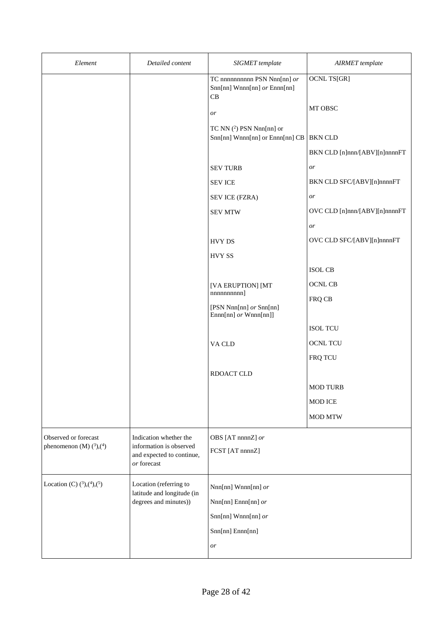| Element                                                | Detailed content                                                               | SIGMET template                                                     | <b>AIRMET</b> template        |
|--------------------------------------------------------|--------------------------------------------------------------------------------|---------------------------------------------------------------------|-------------------------------|
|                                                        |                                                                                | TC nnnnnnnnn PSN Nnn[nn] or<br>Snn[nn] Wnnn[nn] or Ennn[nn]<br>CB   | <b>OCNL TS[GR]</b>            |
|                                                        |                                                                                | or                                                                  | MT OBSC                       |
|                                                        |                                                                                | TC NN $(^2)$ PSN Nnn[nn] or<br>Snn[nn] Wnnn[nn] or Ennn[nn] CB      | <b>BKN CLD</b>                |
|                                                        |                                                                                |                                                                     | BKN CLD [n]nnn/[ABV][n]nnnnFT |
|                                                        |                                                                                | <b>SEV TURB</b>                                                     | or                            |
|                                                        |                                                                                | <b>SEV ICE</b>                                                      | BKN CLD SFC/[ABV][n]nnnnFT    |
|                                                        |                                                                                | SEV ICE (FZRA)                                                      | or                            |
|                                                        |                                                                                | <b>SEV MTW</b>                                                      | OVC CLD [n]nnn/[ABV][n]nnnnFT |
|                                                        |                                                                                |                                                                     | or                            |
|                                                        |                                                                                | <b>HVY DS</b>                                                       | OVC CLD SFC/[ABV][n]nnnnFT    |
|                                                        |                                                                                | <b>HVY SS</b>                                                       |                               |
|                                                        |                                                                                |                                                                     | <b>ISOL CB</b>                |
|                                                        |                                                                                | [VA ERUPTION] [MT                                                   | <b>OCNL CB</b>                |
|                                                        |                                                                                | nnnnnnnnn]<br>[PSN Nnn[nn] or Snn[nn]<br>$Ennn[nn]$ or $Wnnn[nn]$ ] | FRQ CB                        |
|                                                        |                                                                                |                                                                     | <b>ISOL TCU</b>               |
|                                                        |                                                                                | VA CLD                                                              | <b>OCNL TCU</b>               |
|                                                        |                                                                                |                                                                     | FRQ TCU                       |
|                                                        |                                                                                | RDOACT CLD                                                          |                               |
|                                                        |                                                                                |                                                                     | <b>MOD TURB</b>               |
|                                                        |                                                                                |                                                                     | <b>MOD ICE</b>                |
|                                                        |                                                                                |                                                                     | <b>MOD MTW</b>                |
| Observed or forecast<br>phenomenon (M) $(^3)$ , $(^4)$ | Indication whether the<br>information is observed<br>and expected to continue, | OBS [AT nnnnZ] or<br>FCST [AT nnnnZ]                                |                               |
|                                                        | or forecast                                                                    |                                                                     |                               |
| Location (C) $(^{3})$ , $(^{4})$ , $(^{5})$            | Location (referring to<br>latitude and longitude (in                           | Nnn[nn] Wnnn[nn] or                                                 |                               |
|                                                        | degrees and minutes))<br>$Nnn[nn]$ Ennn[nn] $or$                               |                                                                     |                               |
|                                                        |                                                                                | Snn[nn] Wnnn[nn] or                                                 |                               |
|                                                        |                                                                                | Snn[nn] Ennn[nn]                                                    |                               |
|                                                        |                                                                                | or                                                                  |                               |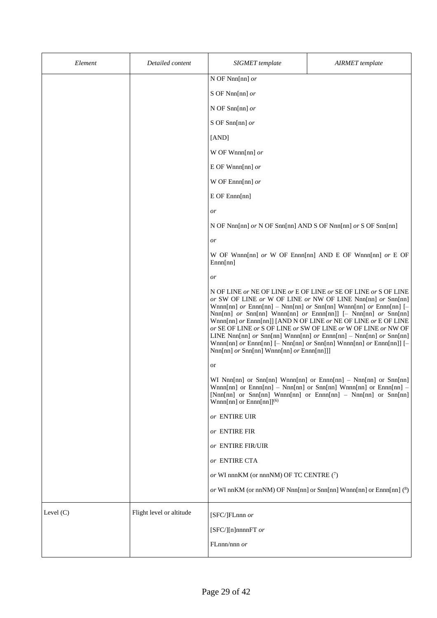| Element     | Detailed content         | <b>SIGMET</b> template                                                          | <b>AIRMET</b> template                                                                                                                                                                                                                                                                                                                                                                                                                                                                                                                                             |
|-------------|--------------------------|---------------------------------------------------------------------------------|--------------------------------------------------------------------------------------------------------------------------------------------------------------------------------------------------------------------------------------------------------------------------------------------------------------------------------------------------------------------------------------------------------------------------------------------------------------------------------------------------------------------------------------------------------------------|
|             |                          | N OF Nnn[nn] $or$                                                               |                                                                                                                                                                                                                                                                                                                                                                                                                                                                                                                                                                    |
|             |                          | S OF Nnn[nn] $or$                                                               |                                                                                                                                                                                                                                                                                                                                                                                                                                                                                                                                                                    |
|             |                          | N OF Snn[nn] $or$                                                               |                                                                                                                                                                                                                                                                                                                                                                                                                                                                                                                                                                    |
|             |                          | S OF Snn[nn] $or$                                                               |                                                                                                                                                                                                                                                                                                                                                                                                                                                                                                                                                                    |
|             |                          | [AND]                                                                           |                                                                                                                                                                                                                                                                                                                                                                                                                                                                                                                                                                    |
|             |                          | W OF Wnnn[nn] $or$                                                              |                                                                                                                                                                                                                                                                                                                                                                                                                                                                                                                                                                    |
|             |                          | E OF Wnnn[nn] $or$                                                              |                                                                                                                                                                                                                                                                                                                                                                                                                                                                                                                                                                    |
|             |                          | W OF Ennn[nn] $or$                                                              |                                                                                                                                                                                                                                                                                                                                                                                                                                                                                                                                                                    |
|             |                          | E OF Ennn[nn]                                                                   |                                                                                                                                                                                                                                                                                                                                                                                                                                                                                                                                                                    |
|             |                          | or                                                                              |                                                                                                                                                                                                                                                                                                                                                                                                                                                                                                                                                                    |
|             |                          | N OF Nnn[nn] or N OF Snn[nn] AND S OF Nnn[nn] or S OF Snn[nn]                   |                                                                                                                                                                                                                                                                                                                                                                                                                                                                                                                                                                    |
|             |                          | or                                                                              |                                                                                                                                                                                                                                                                                                                                                                                                                                                                                                                                                                    |
|             |                          | Ennn[nn]                                                                        | W OF Wnnn[nn] or W OF Ennn[nn] AND E OF Wnnn[nn] or E OF                                                                                                                                                                                                                                                                                                                                                                                                                                                                                                           |
|             |                          | or                                                                              |                                                                                                                                                                                                                                                                                                                                                                                                                                                                                                                                                                    |
|             |                          | $\text{Nnn}[nn]$ or $\text{Snn}[nn]$ Wnnn $\text{nn}[nn]$ or $\text{Ennn}[nn]]$ | N OF LINE or NE OF LINE or E OF LINE or SE OF LINE or S OF LINE<br>or SW OF LINE or W OF LINE or NW OF LINE Nnn[nn] or Snn[nn]<br>Wnnn[nn] $or$ Ennn[nn] - Nnn[nn] $or$ Snn[nn] Wnnn[nn] $or$ Ennn[nn] [-<br>Nnn[nn] or Snn[nn] Wnnn[nn] or Ennn[nn]] [- Nnn[nn] or Snn[nn]<br>Wnnn[nn] or Ennn[nn]] [AND N OF LINE or NE OF LINE or E OF LINE<br>or SE OF LINE or S OF LINE or SW OF LINE or W OF LINE or NW OF<br>LINE Nnn[nn] $or$ Snn[nn] Wnnn[nn] $or$ Ennn[nn] - Nnn[nn] $or$ Snn[nn]<br>Wnnn[nn] or Ennn[nn] [- Nnn[nn] or Snn[nn] Wnnn[nn] or Ennn[nn]] [- |
|             |                          | or                                                                              |                                                                                                                                                                                                                                                                                                                                                                                                                                                                                                                                                                    |
|             |                          | Wnnn[nn] or $Ennn[nn]^{(6)}$                                                    | WI Nnn[nn] or Snn[nn] Wnnn[nn] or Ennn[nn] - Nnn[nn] or Snn[nn]<br>Wnnn[nn] or Ennn[nn] - Nnn[nn] or Snn[nn] Wnnn[nn] or Ennn[nn] -<br>[Nnn[nn] or Snn[nn] Wnnn[nn] or Ennn[nn] - Nnn[nn] or Snn[nn]                                                                                                                                                                                                                                                                                                                                                               |
|             |                          | or ENTIRE UIR                                                                   |                                                                                                                                                                                                                                                                                                                                                                                                                                                                                                                                                                    |
|             |                          | or ENTIRE FIR                                                                   |                                                                                                                                                                                                                                                                                                                                                                                                                                                                                                                                                                    |
|             |                          | or ENTIRE FIR/UIR                                                               |                                                                                                                                                                                                                                                                                                                                                                                                                                                                                                                                                                    |
|             |                          | or ENTIRE CTA                                                                   |                                                                                                                                                                                                                                                                                                                                                                                                                                                                                                                                                                    |
|             |                          | or WI nnnKM (or nnnNM) OF TC CENTRE $(7)$                                       |                                                                                                                                                                                                                                                                                                                                                                                                                                                                                                                                                                    |
|             |                          |                                                                                 | or WI nnKM (or nnNM) OF Nnn[nn] or Snn[nn] Wnnn[nn] or Ennn[nn] $(^8)$                                                                                                                                                                                                                                                                                                                                                                                                                                                                                             |
| Level $(C)$ | Flight level or altitude | [SFC/]FLnnn or                                                                  |                                                                                                                                                                                                                                                                                                                                                                                                                                                                                                                                                                    |
|             |                          | [SFC/][n]nnnnFT $or$                                                            |                                                                                                                                                                                                                                                                                                                                                                                                                                                                                                                                                                    |
|             |                          | FLnnn/nnn or                                                                    |                                                                                                                                                                                                                                                                                                                                                                                                                                                                                                                                                                    |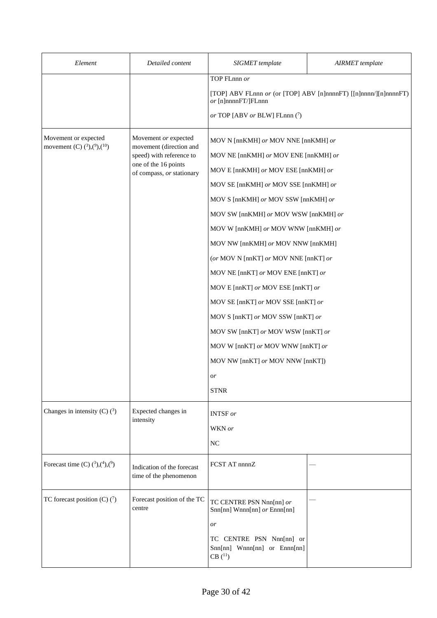| Element                                                          | Detailed content                                     | SIGMET template                                                                         | <b>AIRMET</b> template |  |  |
|------------------------------------------------------------------|------------------------------------------------------|-----------------------------------------------------------------------------------------|------------------------|--|--|
|                                                                  |                                                      | TOP FLnnn or                                                                            |                        |  |  |
|                                                                  |                                                      | [TOP] ABV FLnnn or (or [TOP] ABV [n]nnnnFT) [[n]nnnn/][n]nnnnFT)<br>or [n]nnnnFT/]FLnnn |                        |  |  |
|                                                                  |                                                      | or TOP [ABV or BLW] FLnnn $(7)$                                                         |                        |  |  |
| Movement or expected<br>movement (C) $(^3)$ , $(^9)$ , $(^{10})$ | Movement or expected<br>movement (direction and      | MOV N [nnKMH] or MOV NNE [nnKMH] or                                                     |                        |  |  |
|                                                                  | speed) with reference to<br>one of the 16 points     | MOV NE [nnKMH] or MOV ENE [nnKMH] or                                                    |                        |  |  |
|                                                                  | of compass, or stationary                            | MOV E [nnKMH] or MOV ESE [nnKMH] or                                                     |                        |  |  |
|                                                                  |                                                      | MOV SE [nnKMH] or MOV SSE [nnKMH] or                                                    |                        |  |  |
|                                                                  |                                                      | MOV S [nnKMH] or MOV SSW [nnKMH] or                                                     |                        |  |  |
|                                                                  |                                                      | MOV SW [nnKMH] or MOV WSW [nnKMH] or                                                    |                        |  |  |
|                                                                  |                                                      | MOV W [nnKMH] or MOV WNW [nnKMH] or                                                     |                        |  |  |
|                                                                  |                                                      | MOV NW [nnKMH] or MOV NNW [nnKMH]                                                       |                        |  |  |
|                                                                  |                                                      | (or MOV N [nnKT] or MOV NNE [nnKT] or                                                   |                        |  |  |
|                                                                  | MOV NE [nnKT] or MOV ENE [nnKT] or                   |                                                                                         |                        |  |  |
|                                                                  |                                                      | MOV E [nnKT] or MOV ESE [nnKT] or                                                       |                        |  |  |
|                                                                  |                                                      | MOV SE [nnKT] or MOV SSE [nnKT] or                                                      |                        |  |  |
|                                                                  |                                                      | MOV S [nnKT] or MOV SSW [nnKT] or                                                       |                        |  |  |
|                                                                  |                                                      | MOV SW [nnKT] or MOV WSW [nnKT] or                                                      |                        |  |  |
|                                                                  |                                                      | MOV W [nnKT] or MOV WNW [nnKT] or                                                       |                        |  |  |
|                                                                  |                                                      | MOV NW [nnKT] or MOV NNW [nnKT])                                                        |                        |  |  |
|                                                                  |                                                      | or                                                                                      |                        |  |  |
|                                                                  |                                                      | <b>STNR</b>                                                                             |                        |  |  |
| Changes in intensity (C) $(3)$                                   | Expected changes in<br>intensity                     | <b>INTSF</b> or                                                                         |                        |  |  |
|                                                                  |                                                      | WKN or                                                                                  |                        |  |  |
|                                                                  |                                                      | <b>NC</b>                                                                               |                        |  |  |
| Forecast time (C) $(^{3})$ , $(^{4})$ , $(^{9})$                 | Indication of the forecast<br>time of the phenomenon | FCST AT nnnnZ                                                                           |                        |  |  |
| TC forecast position (C) $(7)$                                   | Forecast position of the TC<br>centre                | TC CENTRE PSN Nnn[nn] or<br>Snn[nn] Wnnn[nn] or Ennn[nn]                                |                        |  |  |
|                                                                  |                                                      | or                                                                                      |                        |  |  |
|                                                                  |                                                      | TC CENTRE PSN Nnn[nn] or<br>Snn[nn] Wnnn[nn] or Ennn[nn]<br>$CB(^{11})$                 |                        |  |  |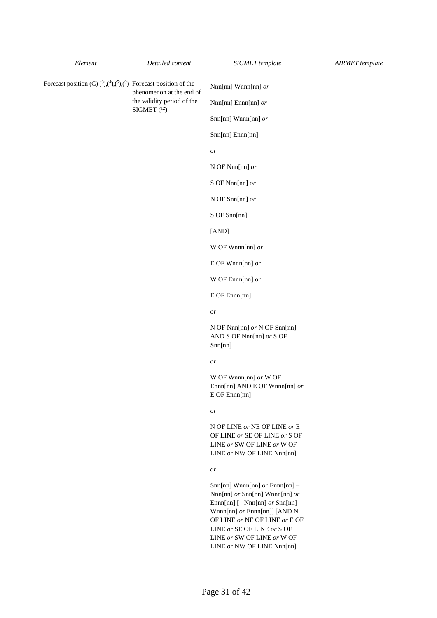| Element                                                                                  | Detailed content           | SIGMET template                                                                                                                                                                                                                                                     | <b>AIRMET</b> template |
|------------------------------------------------------------------------------------------|----------------------------|---------------------------------------------------------------------------------------------------------------------------------------------------------------------------------------------------------------------------------------------------------------------|------------------------|
| Forecast position (C) $({}^3)$ , $({}^4)$ , $({}^5)$ , $({}^9)$ Forecast position of the | phenomenon at the end of   | Nnn[nn] Wnnn[nn] or                                                                                                                                                                                                                                                 |                        |
|                                                                                          | the validity period of the | $Nnn[nn]$ Ennn[nn] $or$                                                                                                                                                                                                                                             |                        |
|                                                                                          | SIGMET $(^{12})$           | Snn[nn] Wnnn[nn] or                                                                                                                                                                                                                                                 |                        |
|                                                                                          |                            | Snn[nn] Ennn[nn]                                                                                                                                                                                                                                                    |                        |
|                                                                                          |                            | or                                                                                                                                                                                                                                                                  |                        |
|                                                                                          |                            | N OF Nnn[nn] or                                                                                                                                                                                                                                                     |                        |
|                                                                                          |                            | S OF Nnn[nn] or                                                                                                                                                                                                                                                     |                        |
|                                                                                          |                            | N OF Snn[nn] $or$                                                                                                                                                                                                                                                   |                        |
|                                                                                          |                            | S OF Snn[nn]                                                                                                                                                                                                                                                        |                        |
|                                                                                          |                            | [AND]                                                                                                                                                                                                                                                               |                        |
|                                                                                          |                            | W OF Wnnn[nn] $or$                                                                                                                                                                                                                                                  |                        |
|                                                                                          |                            | E OF Wnnn[nn] $or$                                                                                                                                                                                                                                                  |                        |
|                                                                                          |                            | W OF Ennn[nn] $or$                                                                                                                                                                                                                                                  |                        |
|                                                                                          |                            | E OF Ennn[nn]                                                                                                                                                                                                                                                       |                        |
|                                                                                          |                            | or                                                                                                                                                                                                                                                                  |                        |
|                                                                                          |                            | N OF Nnn[nn] or N OF Snn[nn]<br>AND S OF Nnn[nn] or S OF<br>Snn[nn]                                                                                                                                                                                                 |                        |
|                                                                                          |                            | or                                                                                                                                                                                                                                                                  |                        |
|                                                                                          |                            | W OF Wnnn[nn] or W OF<br>Ennn[nn] AND E OF Wnnn[nn] or<br>E OF Ennn[nn]                                                                                                                                                                                             |                        |
|                                                                                          |                            | or                                                                                                                                                                                                                                                                  |                        |
|                                                                                          |                            | N OF LINE or NE OF LINE or E<br>OF LINE or SE OF LINE or S OF<br>LINE or SW OF LINE or W OF<br>LINE or NW OF LINE Nnn[nn]                                                                                                                                           |                        |
|                                                                                          |                            | or                                                                                                                                                                                                                                                                  |                        |
|                                                                                          |                            | $Snn[nn]$ Wnnn[nn] or Ennn[nn] -<br>Nnn[nn] or Snn[nn] Wnnn[nn] or<br>$Ennn[nn]$ [- Nnn[nn] $or$ Snn[nn]<br>Wnnn[nn] or Ennn[nn]] [AND N<br>OF LINE or NE OF LINE or E OF<br>LINE or SE OF LINE or S OF<br>LINE or SW OF LINE or W OF<br>LINE or NW OF LINE Nnn[nn] |                        |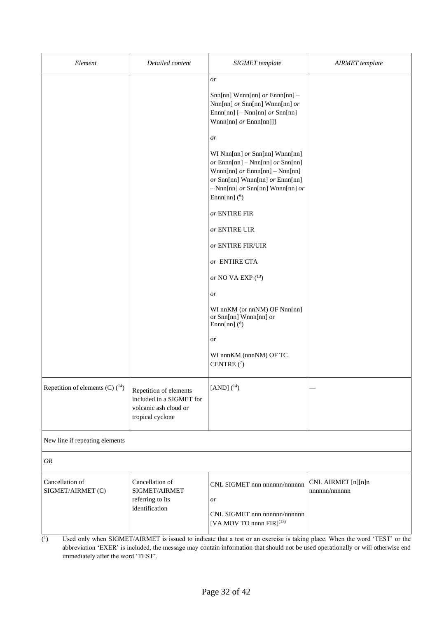| Element                              | Detailed content                                                                                | SIGMET template                                                                                                                                                                                                         | <b>AIRMET</b> template             |
|--------------------------------------|-------------------------------------------------------------------------------------------------|-------------------------------------------------------------------------------------------------------------------------------------------------------------------------------------------------------------------------|------------------------------------|
|                                      |                                                                                                 | or<br>$Snn[nn]$ Wnnn[nn] or Ennn[nn] -<br>Nnn[nn] or Snn[nn] Wnnn[nn] or<br>$Ennn[nn]$ [- Nnn[nn] $or$ Snn[nn]<br>$Wnnn[nn]$ or $Ennn[nn]]$                                                                             |                                    |
|                                      |                                                                                                 | or<br>WI Nnn[nn] or Snn[nn] Wnnn[nn]<br>$or$ Ennn[nn] – Nnn[nn] $or$ Snn[nn]<br>$Wnnn[nn]$ or $Ennn[nn] - Nnn[nn]$<br>or Snn[nn] Wnnn[nn] or Ennn[nn]<br>$-$ Nnn[nn] $or$ Snn[nn] Wnnn[nn] $or$<br>Ennn $[nn]$ ( $^6$ ) |                                    |
|                                      |                                                                                                 | or ENTIRE FIR<br>$\emph{or}$ ENTIRE UIR                                                                                                                                                                                 |                                    |
|                                      |                                                                                                 | or ENTIRE FIR/UIR                                                                                                                                                                                                       |                                    |
|                                      |                                                                                                 | or ENTIRE CTA<br>or NO VA EXP $(^{13})$                                                                                                                                                                                 |                                    |
|                                      |                                                                                                 | or                                                                                                                                                                                                                      |                                    |
|                                      |                                                                                                 | WI nnKM (or nnNM) OF Nnn[nn]<br>or Snn[nn] Wnnn[nn] or<br>Ennn[nn] $(^8)$                                                                                                                                               |                                    |
|                                      |                                                                                                 | or                                                                                                                                                                                                                      |                                    |
|                                      |                                                                                                 | WI nnnKM (nnnNM) OF TC<br>CENTRE $(7)$                                                                                                                                                                                  |                                    |
| Repetition of elements (C) $(^{14})$ | Repetition of elements<br>included in a SIGMET for<br>volcanic ash cloud or<br>tropical cyclone | [AND] $(^{14})$                                                                                                                                                                                                         |                                    |
| New line if repeating elements       |                                                                                                 |                                                                                                                                                                                                                         |                                    |
| OR                                   |                                                                                                 |                                                                                                                                                                                                                         |                                    |
| Cancellation of<br>SIGMET/AIRMET (C) | Cancellation of<br>SIGMET/AIRMET<br>referring to its<br>identification                          | CNL SIGMET nnn nnnnnn/nnnnnn<br>or<br>CNL SIGMET nnn nnnnnn/nnnnnn<br>[VA MOV TO nnnn FIR] <sup>(13)</sup>                                                                                                              | CNL AIRMET [n][n]n<br>nnnnn/nnnnnn |

 $(^1$ ) Used only when SIGMET/AIRMET is issued to indicate that a test or an exercise is taking place. When the word 'TEST' or the abbreviation 'EXER' is included, the message may contain information that should not be used operationally or will otherwise end immediately after the word 'TEST'.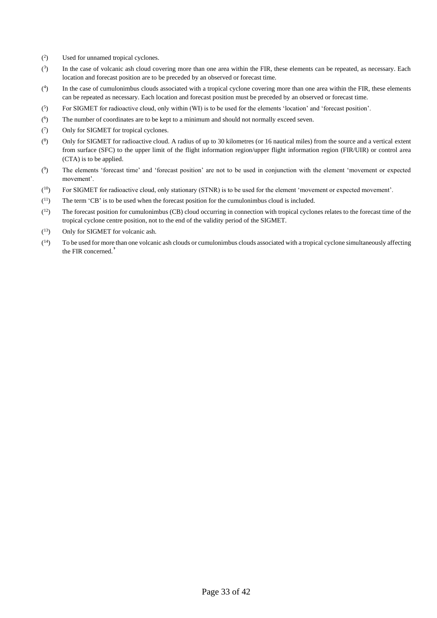- $($ <sup>2</sup> Used for unnamed tropical cyclones.
- $(3)$ ) In the case of volcanic ash cloud covering more than one area within the FIR, these elements can be repeated, as necessary. Each location and forecast position are to be preceded by an observed or forecast time.
- $($ <sup>4</sup> ) In the case of cumulonimbus clouds associated with a tropical cyclone covering more than one area within the FIR, these elements can be repeated as necessary. Each location and forecast position must be preceded by an observed or forecast time.
- $($ <sup>5</sup> ) For SIGMET for radioactive cloud, only within (WI) is to be used for the elements 'location' and 'forecast position'.
- $($ <sup>6</sup> ) The number of coordinates are to be kept to a minimum and should not normally exceed seven.
- $\mathcal{C}$ ) Only for SIGMET for tropical cyclones.
- $(8)$ ) Only for SIGMET for radioactive cloud. A radius of up to 30 kilometres (or 16 nautical miles) from the source and a vertical extent from surface (SFC) to the upper limit of the flight information region/upper flight information region (FIR/UIR) or control area (CTA) is to be applied.
- $($ <sup>9</sup> ) The elements 'forecast time' and 'forecast position' are not to be used in conjunction with the element 'movement or expected movement'.
- $(10)$ For SIGMET for radioactive cloud, only stationary (STNR) is to be used for the element 'movement or expected movement'.
- $(11)$ The term 'CB' is to be used when the forecast position for the cumulonimbus cloud is included.
- $(12)$ <sup>12</sup>) The forecast position for cumulonimbus (CB) cloud occurring in connection with tropical cyclones relates to the forecast time of the tropical cyclone centre position, not to the end of the validity period of the SIGMET.
- $(13)$ Only for SIGMET for volcanic ash.
- $(14)$ To be used for more than one volcanic ash clouds or cumulonimbus clouds associated with a tropical cyclone simultaneously affecting the FIR concerned.'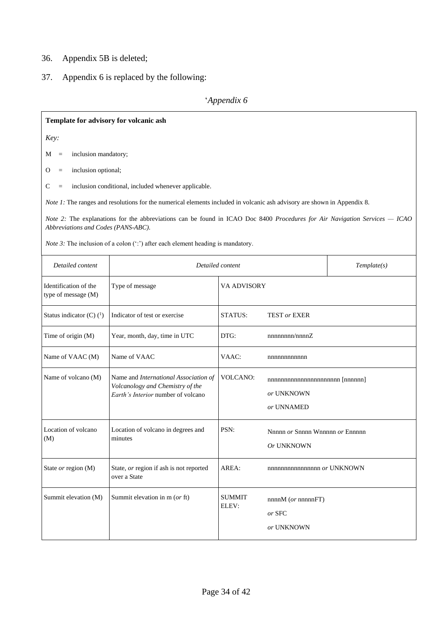# 36. Appendix 5B is deleted;

37. Appendix 6 is replaced by the following:

# '*Appendix 6*

| Template for advisory for volcanic ash         |                                                                                                                              |                        |                                 |             |
|------------------------------------------------|------------------------------------------------------------------------------------------------------------------------------|------------------------|---------------------------------|-------------|
| Key:                                           |                                                                                                                              |                        |                                 |             |
| inclusion mandatory;<br>M<br>$\qquad \qquad =$ |                                                                                                                              |                        |                                 |             |
| inclusion optional;<br>O<br>$\qquad \qquad =$  |                                                                                                                              |                        |                                 |             |
| С<br>$\qquad \qquad =$                         | inclusion conditional, included whenever applicable.                                                                         |                        |                                 |             |
|                                                | Note 1: The ranges and resolutions for the numerical elements included in volcanic ash advisory are shown in Appendix 8.     |                        |                                 |             |
| Abbreviations and Codes (PANS-ABC).            | Note 2: The explanations for the abbreviations can be found in ICAO Doc 8400 Procedures for Air Navigation Services $-$ ICAO |                        |                                 |             |
|                                                | <i>Note 3:</i> The inclusion of a colon $(\cdot;\cdot)$ after each element heading is mandatory.                             |                        |                                 |             |
| Detailed content                               |                                                                                                                              | Detailed content       |                                 | Template(s) |
| Identification of the<br>type of message (M)   | Type of message                                                                                                              | VA ADVISORY            |                                 |             |
| Status indicator (C) $(^1)$                    | Indicator of test or exercise                                                                                                | STATUS:                | <b>TEST or EXER</b>             |             |
| Time of origin (M)                             | Year, month, day, time in UTC                                                                                                | DTG:                   | nnnnnnn/nnnnZ                   |             |
| Name of VAAC (M)                               | Name of VAAC                                                                                                                 | VAAC:                  | nnnnnnnnnnn                     |             |
| Name of volcano (M)                            | Name and International Association of<br>Volcanology and Chemistry of the                                                    | <b>VOLCANO:</b>        | nnnnnnnnnnnnnnnnnnnnn [nnnnn]   |             |
|                                                | Earth's Interior number of volcano                                                                                           |                        | or UNKNOWN                      |             |
|                                                |                                                                                                                              |                        | or UNNAMED                      |             |
| Location of volcano                            | Location of volcano in degrees and                                                                                           | PSN:                   | Nnnnn or Snnnn Wnnnnn or Ennnnn |             |
| (M)                                            | minutes                                                                                                                      |                        | Or UNKNOWN                      |             |
| State or region (M)                            | State, or region if ash is not reported<br>over a State                                                                      | AREA:                  | nnnnnnnnnnnnnnnn or UNKNOWN     |             |
| Summit elevation (M)                           | Summit elevation in m (or ft)                                                                                                | <b>SUMMIT</b><br>ELEV: | nnnnM (or nnnnnFT)              |             |
|                                                |                                                                                                                              |                        | or SFC                          |             |
|                                                |                                                                                                                              |                        | or UNKNOWN                      |             |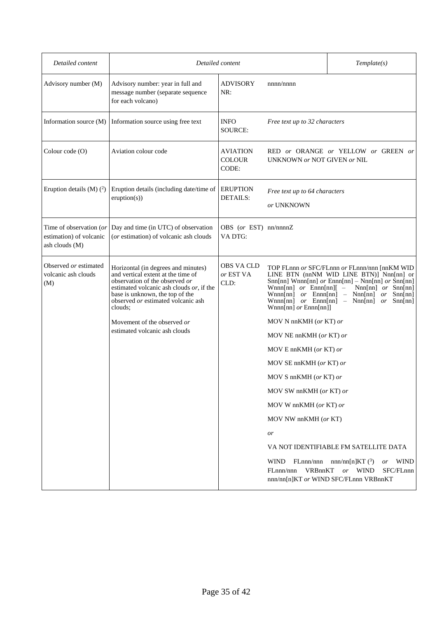| Detailed content                                                     |                                                                                                                                                                                                                                             | Detailed content                          |                                                                                                                               | Template(s)                                                                                                                                                                                                                  |
|----------------------------------------------------------------------|---------------------------------------------------------------------------------------------------------------------------------------------------------------------------------------------------------------------------------------------|-------------------------------------------|-------------------------------------------------------------------------------------------------------------------------------|------------------------------------------------------------------------------------------------------------------------------------------------------------------------------------------------------------------------------|
| Advisory number (M)                                                  | Advisory number: year in full and<br>message number (separate sequence<br>for each volcano)                                                                                                                                                 | ADVISORY<br>NR:                           | nnnn/nnnn                                                                                                                     |                                                                                                                                                                                                                              |
| Information source (M)                                               | Information source using free text                                                                                                                                                                                                          | <b>INFO</b><br><b>SOURCE:</b>             | Free text up to 32 characters                                                                                                 |                                                                                                                                                                                                                              |
| Colour code (O)                                                      | Aviation colour code                                                                                                                                                                                                                        | <b>AVIATION</b><br><b>COLOUR</b><br>CODE: | UNKNOWN or NOT GIVEN or NIL                                                                                                   | RED or ORANGE or YELLOW or GREEN or                                                                                                                                                                                          |
| Eruption details $(M)$ $(^2)$                                        | Eruption details (including date/time of<br>eruption(s))                                                                                                                                                                                    | <b>ERUPTION</b><br><b>DETAILS:</b>        | Free text up to 64 characters<br>or UNKNOWN                                                                                   |                                                                                                                                                                                                                              |
| Time of observation (or<br>estimation) of volcanic<br>ash clouds (M) | Day and time (in UTC) of observation<br>(or estimation) of volcanic ash clouds                                                                                                                                                              | OBS (or EST) nn/nnnnZ<br>VA DTG:          |                                                                                                                               |                                                                                                                                                                                                                              |
| Observed or estimated<br>volcanic ash clouds<br>(M)                  | Horizontal (in degrees and minutes)<br>and vertical extent at the time of<br>observation of the observed or<br>estimated volcanic ash clouds or, if the<br>base is unknown, the top of the<br>observed or estimated volcanic ash<br>clouds; | <b>OBS VA CLD</b><br>or EST VA<br>CLD:    | Wnnn[nn] $or$ Ennn[nn][ $-$<br>$Wnnn[nn]$ or $Ennn[nn]$<br>$Wnnn[nn]$ or $Ennn[nn]$ – $Nnn[nn]$<br>$Wnnn[nn]$ or $Ennn[nn]$ ] | TOP FLnnn or SFC/FLnnn or FLnnn/nnn [nnKM WID<br>LINE BTN (nnNM WID LINE BTN)] Nnn[nn] or<br>Snn[nn] Wnnn[nn] $or$ Ennn[nn] - Nnn[nn] $or$ Snn[nn]<br>$Nnn[nn]$ or $Snn[nn]$<br>$-$ Nnn[nn]<br>or<br>Snn[nn]<br>$or$ Snn[nn] |
|                                                                      | Movement of the observed or                                                                                                                                                                                                                 |                                           | MOV N nn $KMH$ (or KT) or                                                                                                     |                                                                                                                                                                                                                              |
|                                                                      | estimated volcanic ash clouds                                                                                                                                                                                                               |                                           | MOV NE nnKMH (or KT) or                                                                                                       |                                                                                                                                                                                                                              |
|                                                                      |                                                                                                                                                                                                                                             |                                           | MOV E nnKMH (or KT) or                                                                                                        |                                                                                                                                                                                                                              |
|                                                                      |                                                                                                                                                                                                                                             |                                           | MOV SE nnKMH (or KT) or                                                                                                       |                                                                                                                                                                                                                              |
|                                                                      |                                                                                                                                                                                                                                             |                                           | MOV S nnKMH (or KT) or                                                                                                        |                                                                                                                                                                                                                              |
|                                                                      |                                                                                                                                                                                                                                             |                                           | MOV SW nnKMH (or KT) or                                                                                                       |                                                                                                                                                                                                                              |
|                                                                      |                                                                                                                                                                                                                                             |                                           | MOV W nnKMH (or KT) or                                                                                                        |                                                                                                                                                                                                                              |
|                                                                      |                                                                                                                                                                                                                                             |                                           | MOV NW nnKMH (or KT)                                                                                                          |                                                                                                                                                                                                                              |
|                                                                      |                                                                                                                                                                                                                                             |                                           | or                                                                                                                            |                                                                                                                                                                                                                              |
|                                                                      |                                                                                                                                                                                                                                             |                                           |                                                                                                                               | VA NOT IDENTIFIABLE FM SATELLITE DATA                                                                                                                                                                                        |
|                                                                      |                                                                                                                                                                                                                                             |                                           | <b>WIND</b><br>FLnnn/nnn<br>VRBnnKT<br>FLnnn/nnn                                                                              | $nnn/nn[n]KT$ ( <sup>3</sup> )<br><b>WIND</b><br><i>or</i><br>SFC/FLnnn<br>or WIND<br>nnn/nn[n]KT or WIND SFC/FLnnn VRBnnKT                                                                                                  |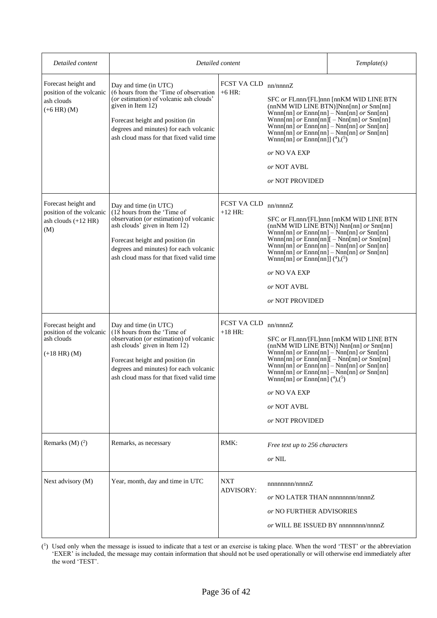| Detailed content                                                                 | Detailed content                                                                                                                                                                                                                                           |                                |                                                                                                                     | Template(s)                                                                                                                                                                                                                                                                               |
|----------------------------------------------------------------------------------|------------------------------------------------------------------------------------------------------------------------------------------------------------------------------------------------------------------------------------------------------------|--------------------------------|---------------------------------------------------------------------------------------------------------------------|-------------------------------------------------------------------------------------------------------------------------------------------------------------------------------------------------------------------------------------------------------------------------------------------|
| Forecast height and<br>position of the volcanic<br>ash clouds<br>$(+6$ HR) $(M)$ | Day and time (in UTC)<br>(6 hours from the 'Time of observation<br>(or estimation) of volcanic ash clouds'<br>given in Item 12)<br>Forecast height and position (in<br>degrees and minutes) for each volcanic<br>ash cloud mass for that fixed valid time  | FCST VA CLD<br>$+6$ HR:        | nn/nnnnZ<br>Wnnn[nn] or Ennn[nn]] $(^4)$ , $(^5)$<br>or NO VA EXP<br>or NOT AVBL<br>or NOT PROVIDED                 | SFC or FLnnn/[FL]nnn [nnKM WID LINE BTN<br>(nnNM WID LINE BTN)]Nnn[nn] or Snn[nn]<br>Wnnn[nn] $or$ Ennn[nn] - Nnn[nn] $or$ Snn[nn]<br>Wnnn[nn] $or$ Ennn[nn][ $-$ Nnn[nn] $or$ Snn[nn]<br>Wnnn[nn] $or$ Ennn[nn] – Nnn[nn] $or$ Snn[nn]<br>Wnnn[nn] $or$ Ennn[nn] - Nnn[nn] $or$ Snn[nn]  |
| Forecast height and<br>position of the volcanic<br>ash clouds $(+12$ HR)<br>(M)  | Day and time (in UTC)<br>(12 hours from the 'Time of<br>observation (or estimation) of volcanic<br>ash clouds' given in Item 12)<br>Forecast height and position (in<br>degrees and minutes) for each volcanic<br>ash cloud mass for that fixed valid time | FCST VA CLD<br>$+12$ HR:       | nn/nnnnZ<br>Wnnn[nn] or Ennn[nn]] $(^4)$ , $(^5)$<br>or NO VA EXP<br>or NOT AVBL<br>or NOT PROVIDED                 | SFC or FLnnn/[FL]nnn [nnKM WID LINE BTN<br>(nnNM WID LINE BTN)] Nnn[nn] $or$ Snn[nn]<br>Wnnn[nn] or Ennn[nn] - Nnn[nn] or Snn[nn]<br>Wnnn[nn] $or$ Ennn[nn][ $-$ Nnn[nn] $or$ Snn[nn]<br>Wnnn[nn] or Ennn[nn] - Nnn[nn] or Snn[nn]<br>Wnnn[nn] $or$ Ennn[nn] – Nnn[nn] $or$ Snn[nn]       |
| Forecast height and<br>position of the volcanic<br>ash clouds<br>$(+18$ HR) (M)  | Day and time (in UTC)<br>(18 hours from the 'Time of<br>observation (or estimation) of volcanic<br>ash clouds' given in Item 12)<br>Forecast height and position (in<br>degrees and minutes) for each volcanic<br>ash cloud mass for that fixed valid time | FCST VA CLD<br>$+18$ HR:       | nn/nnnnZ<br>Wnnn[nn] $or$ Ennn[nn] $(4)$ , $(5)$<br>or NO VA EXP<br>or NOT AVBL<br>or NOT PROVIDED                  | SFC or FLnnn/[FL]nnn [nnKM WID LINE BTN<br>(nnNM WID LINE BTN)] Nnn[nn] or Snn[nn]<br>Wnnn[nn] $or$ Ennn[nn] – Nnn[nn] $or$ Snn[nn]<br>Wnnn[nn] $or$ Ennn[nn][ $-$ Nnn[nn] $or$ Snn[nn]<br>Wnnn[nn] $or$ Ennn[nn] – Nnn[nn] $or$ Snn[nn]<br>Wnnn[nn] $or$ Ennn[nn] - Nnn[nn] $or$ Snn[nn] |
| Remarks (M) $(2)$                                                                | Remarks, as necessary                                                                                                                                                                                                                                      | RMK:                           | Free text up to 256 characters<br>or NIL                                                                            |                                                                                                                                                                                                                                                                                           |
| Next advisory (M)                                                                | Year, month, day and time in UTC                                                                                                                                                                                                                           | <b>NXT</b><br><b>ADVISORY:</b> | nnnnnnn/nnnnZ<br>or NO LATER THAN nnnnnnnn/nnnnZ<br>or NO FURTHER ADVISORIES<br>or WILL BE ISSUED BY nnnnnnnn/nnnnZ |                                                                                                                                                                                                                                                                                           |

( 1 ) Used only when the message is issued to indicate that a test or an exercise is taking place. When the word 'TEST' or the abbreviation 'EXER' is included, the message may contain information that should not be used operationally or will otherwise end immediately after the word 'TEST'.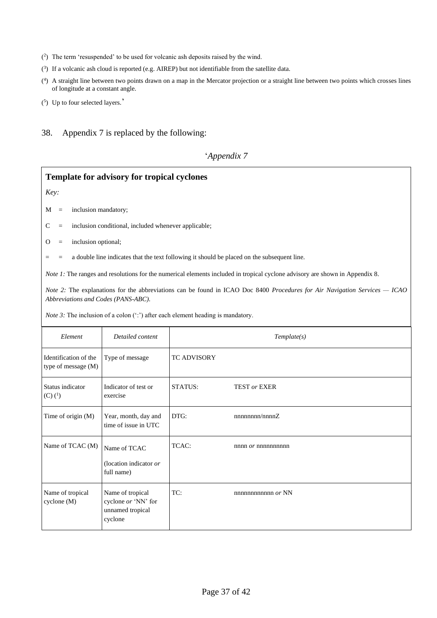- ( 2 ) The term 'resuspended' to be used for volcanic ash deposits raised by the wind.
- $(3)$  If a volcanic ash cloud is reported (e.g. AIREP) but not identifiable from the satellite data.
- ( 4 ) A straight line between two points drawn on a map in the Mercator projection or a straight line between two points which crosses lines of longitude at a constant angle.
- $(5)$  Up to four selected layers.'

Name of tropical cyclone (M)

Name of tropical cyclone *or* 'NN' for unnamed tropical

cyclone

38. Appendix 7 is replaced by the following:

#### '*Appendix 7*

# **Template for advisory for tropical cyclones** *Key:*  $M =$  inclusion mandatory;  $C =$  inclusion conditional, included whenever applicable;  $O =$  inclusion optional; = = a double line indicates that the text following it should be placed on the subsequent line. *Note 1:* The ranges and resolutions for the numerical elements included in tropical cyclone advisory are shown in Appendix 8. *Note 2:* The explanations for the abbreviations can be found in ICAO Doc 8400 *Procedures for Air Navigation Services — ICAO Abbreviations and Codes (PANS-ABC)*. *Note 3:* The inclusion of a colon (':') after each element heading is mandatory. *Element Detailed content Template(s)* Identification of the type of message (M) Type of message TC ADVISORY Status indicator  $(C)$   $(^{1})$ Indicator of test or exercise STATUS: TEST *or* EXER Time of origin  $(M)$  Year, month, day and time of issue in UTC DTG: nnnnnnnn/nnnnZ Name of TCAC  $(M)$  Name of TCAC (location indicator *or* full name) TCAC: nnnn *or* nnnnnnnnnn

TC: nnnnnnnnnnnn *or* NN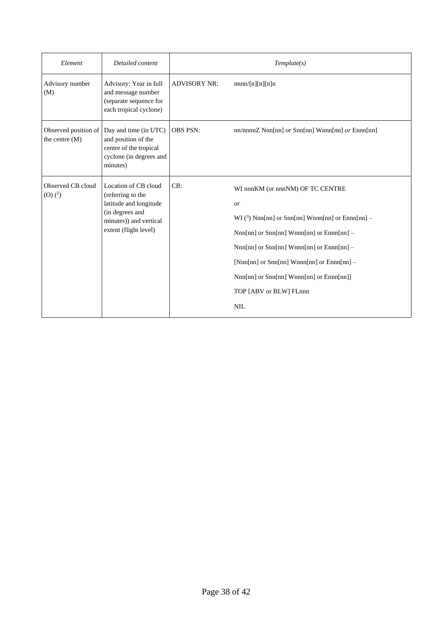| Element                                  | Detailed content                                                                                                                          | Template(s)         |                                                                                                                                                                                                                                                                                                                                                   |  |
|------------------------------------------|-------------------------------------------------------------------------------------------------------------------------------------------|---------------------|---------------------------------------------------------------------------------------------------------------------------------------------------------------------------------------------------------------------------------------------------------------------------------------------------------------------------------------------------|--|
| Advisory number<br>(M)                   | Advisory: Year in full<br>and message number<br>(separate sequence for<br>each tropical cyclone)                                          | <b>ADVISORY NR:</b> | nnnn/[n][n][n]n                                                                                                                                                                                                                                                                                                                                   |  |
| Observed position of<br>the centre $(M)$ | Day and time (in UTC)<br>and position of the<br>centre of the tropical<br>cyclone (in degrees and<br>minutes)                             | <b>OBS PSN:</b>     | nn/nnnn $Z$ Nnn $[nn]$ or Snn $[nn]$ Wnnn $[nn]$ or Ennn $[nn]$                                                                                                                                                                                                                                                                                   |  |
| Observed CB cloud<br>$(0)$ $(^{2})$      | Location of CB cloud<br>(referring to the<br>latitude and longitude<br>(in degrees and<br>minutes)) and vertical<br>extent (flight level) | CB:                 | WI nnnKM (or nnnNM) OF TC CENTRE<br><i>or</i><br>WI $(3)$ Nnn[nn] or Snn[nn] Wnnn[nn] or Ennn[nn] –<br>$Nnn[nn]$ or $Snn[nn]$ Wnnn $[nn]$ or $Ennn[nn]$ –<br>$Nnn[nn]$ or $Snn[nn]$ Wnnn $[nn]$ or $Ennn[nn]$ –<br>[Nnn[nn] or Snn[nn] Wnnn[nn] or Ennn[nn] -<br>Nnn[nn] or Snn[nn] Wnnn[nn] or Ennn[nn]]<br>TOP [ABV or BLW] FLnnn<br><b>NIL</b> |  |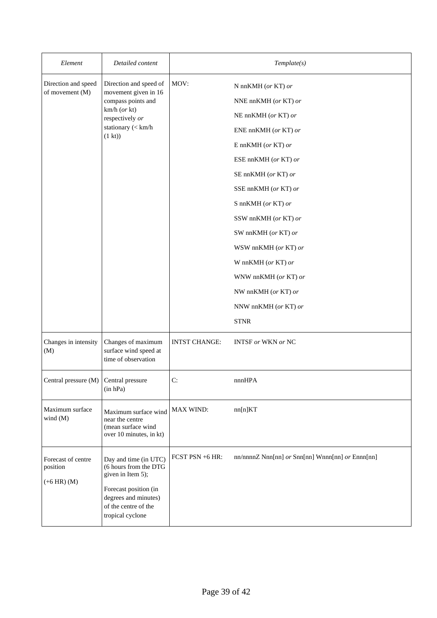| Element                                           | Detailed content                                                                                                                                                 | Template(s)          |                                                                                                                                                                                                                                                                                                                                                                                     |  |
|---------------------------------------------------|------------------------------------------------------------------------------------------------------------------------------------------------------------------|----------------------|-------------------------------------------------------------------------------------------------------------------------------------------------------------------------------------------------------------------------------------------------------------------------------------------------------------------------------------------------------------------------------------|--|
| Direction and speed<br>of movement (M)            | Direction and speed of<br>movement given in 16<br>compass points and<br>$km/h$ (or kt)<br>respectively or<br>stationary (< km/h<br>(1 kt)                        | MOV:                 | N nnKMH (or KT) or<br>NNE nnKMH (or KT) or<br>NE nnKMH (or KT) or<br>ENE nnKMH (or KT) or<br>E nn $KMH$ (or KT) or<br>ESE nnKMH (or KT) or<br>SE nnKMH (or KT) or<br>SSE nnKMH (or KT) or<br>S nnKMH (or KT) or<br>SSW nnKMH (or KT) or<br>SW nnKMH (or KT) or<br>WSW nnKMH (or KT) or<br>W nnKMH (or KT) or<br>WNW nnKMH (or KT) or<br>NW nnKMH (or KT) or<br>NNW nnKMH (or KT) or |  |
| Changes in intensity<br>(M)                       | Changes of maximum<br>surface wind speed at<br>time of observation                                                                                               | <b>INTST CHANGE:</b> | <b>STNR</b><br><b>INTSF</b> or WKN or NC                                                                                                                                                                                                                                                                                                                                            |  |
| Central pressure $(M)$ Central pressure           | (in hPa)                                                                                                                                                         | C:                   | nnnHPA                                                                                                                                                                                                                                                                                                                                                                              |  |
| Maximum surface<br>wind $(M)$                     | Maximum surface wind<br>near the centre<br>(mean surface wind<br>over 10 minutes, in kt)                                                                         | MAX WIND:            | nn[n]KT                                                                                                                                                                                                                                                                                                                                                                             |  |
| Forecast of centre<br>position<br>$(+6$ HR) $(M)$ | Day and time (in UTC)<br>(6 hours from the DTG<br>given in Item 5);<br>Forecast position (in<br>degrees and minutes)<br>of the centre of the<br>tropical cyclone | FCST PSN +6 HR:      | nn/nnnnZ Nnn[nn] or Snn[nn] Wnnn[nn] or Ennn[nn]                                                                                                                                                                                                                                                                                                                                    |  |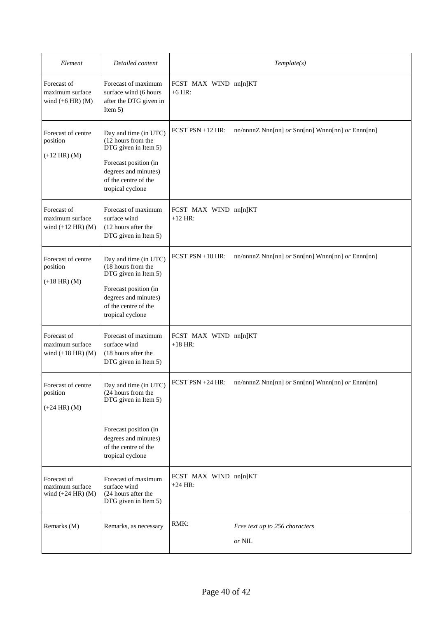| Element                                                 | Detailed content                                                                                                                                                 | Template(s)                        |                                                                                                                                      |  |
|---------------------------------------------------------|------------------------------------------------------------------------------------------------------------------------------------------------------------------|------------------------------------|--------------------------------------------------------------------------------------------------------------------------------------|--|
| Forecast of<br>maximum surface<br>wind $(+6$ HR) $(M)$  | Forecast of maximum<br>surface wind (6 hours<br>after the DTG given in<br>Item $5)$                                                                              | FCST MAX WIND nn[n]KT<br>$+6$ HR:  |                                                                                                                                      |  |
| Forecast of centre<br>position<br>$(+12$ HR) $(M)$      | Day and time (in UTC)<br>(12 hours from the<br>DTG given in Item 5)<br>Forecast position (in<br>degrees and minutes)<br>of the centre of the<br>tropical cyclone | $FCST$ $PSN + 12$ $HR$ :           | nn/nnnn $Z$ Nnn $[nn]$ or Snn $[nn]$ Wnnn $[nn]$ or Ennn $[nn]$                                                                      |  |
| Forecast of<br>maximum surface<br>wind $(+12$ HR) $(M)$ | Forecast of maximum<br>surface wind<br>(12 hours after the<br>DTG given in Item 5)                                                                               | FCST MAX WIND nn[n]KT<br>$+12$ HR: |                                                                                                                                      |  |
| Forecast of centre<br>position<br>$(+18$ HR) (M)        | Day and time (in UTC)<br>(18 hours from the<br>DTG given in Item 5)<br>Forecast position (in<br>degrees and minutes)<br>of the centre of the<br>tropical cyclone | FCST $PSN + 18$ HR:                | nn/nnnnZ Nnn[nn] or Snn[nn] Wnnn[nn] or Ennn[nn]                                                                                     |  |
| Forecast of<br>maximum surface<br>wind $(+18$ HR) $(M)$ | Forecast of maximum<br>surface wind<br>(18 hours after the<br>DTG given in Item 5)                                                                               | FCST MAX WIND nn[n]KT<br>$+18$ HR: |                                                                                                                                      |  |
| Forecast of centre<br>position<br>$(+24$ HR) (M)        | Day and time (in UTC)<br>(24 hours from the<br>DTG given in Item 5)<br>Forecast position (in<br>degrees and minutes)                                             | $FCST$ $PSN + 24$ $HR$ :           | $\min$ /nnnn $Z$ Nnn $\lfloor$ nn $\rfloor$ or Snn $\lfloor$ nn $\rfloor$ Wnnn $\lfloor$ nn $\rfloor$ or Ennn $\lfloor$ nn $\rfloor$ |  |
|                                                         | of the centre of the<br>tropical cyclone                                                                                                                         |                                    |                                                                                                                                      |  |
| Forecast of<br>maximum surface<br>wind $(+24$ HR) $(M)$ | Forecast of maximum<br>surface wind<br>(24 hours after the<br>DTG given in Item 5)                                                                               | FCST MAX WIND nn[n]KT<br>$+24$ HR: |                                                                                                                                      |  |
| Remarks (M)                                             | Remarks, as necessary                                                                                                                                            | RMK:                               | Free text up to 256 characters<br>or NIL                                                                                             |  |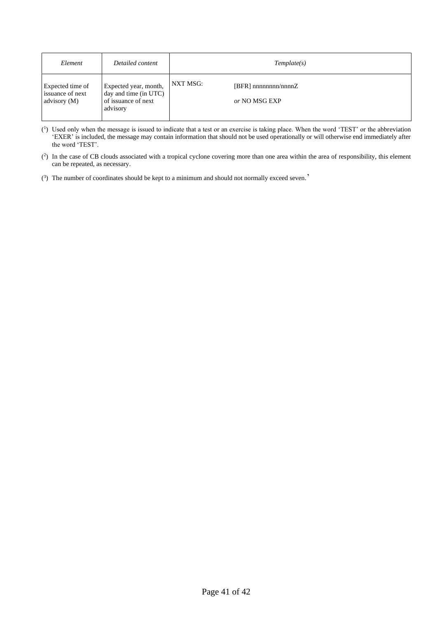| Element                                              | Detailed content                                                                  | Template(s)                                            |
|------------------------------------------------------|-----------------------------------------------------------------------------------|--------------------------------------------------------|
| Expected time of<br>issuance of next<br>advisory (M) | Expected year, month,<br>day and time (in UTC)<br>of issuance of next<br>advisory | NXT MSG:<br>$[BFR]$ nnnnnnnn/nnnn $Z$<br>or NO MSG EXP |

- ( 1 ) Used only when the message is issued to indicate that a test or an exercise is taking place. When the word 'TEST' or the abbreviation 'EXER' is included, the message may contain information that should not be used operationally or will otherwise end immediately after the word 'TEST'.
- $(2)$  In the case of CB clouds associated with a tropical cyclone covering more than one area within the area of responsibility, this element can be repeated, as necessary.
- ( 3 ) The number of coordinates should be kept to a minimum and should not normally exceed seven.'